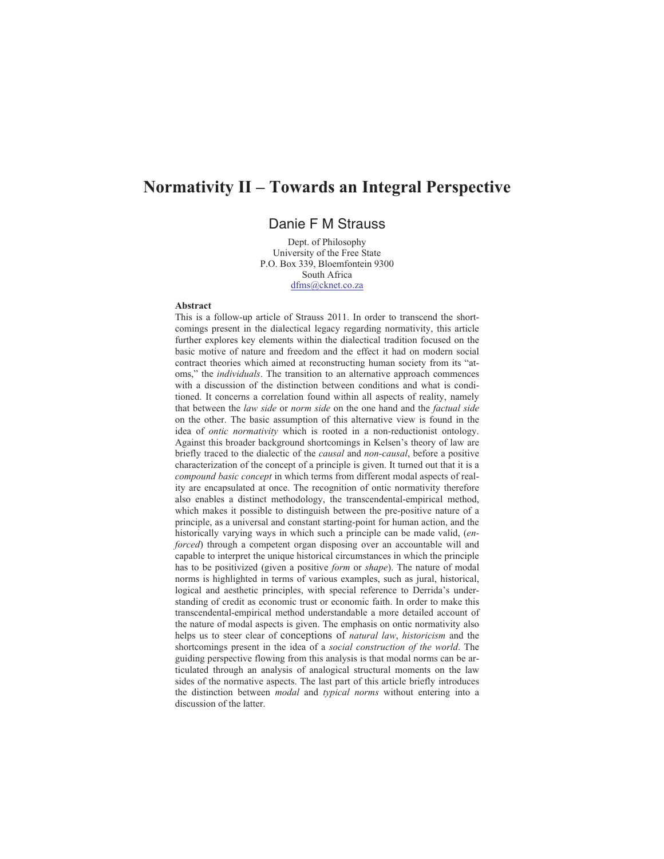# **Normativity II – Towards an Integral Perspective**

## Danie F M Strauss

Dept. of Philosophy University of the Free State P.O. Box 339, Bloemfontein 9300 South Africa dfms@cknet.co.za

#### **Abstract**

This is a follow-up article of Strauss 2011. In order to transcend the shortcomings present in the dialectical legacy regarding normativity, this article further explores key elements within the dialectical tradition focused on the basic motive of nature and freedom and the effect it had on modern social contract theories which aimed at reconstructing human society from its "atoms," the *individuals*. The transition to an alternative approach commences with a discussion of the distinction between conditions and what is conditioned. It concerns a correlation found within all aspects of reality, namely that between the *law side* or *norm side* on the one hand and the *factual side* on the other. The basic assumption of this alternative view is found in the idea of *ontic normativity* which is rooted in a non-reductionist ontology. Against this broader background shortcomings in Kelsen's theory of law are briefly traced to the dialectic of the *causal* and *non-causal*, before a positive characterization of the concept of a principle is given. It turned out that it is a *compound basic concept* in which terms from different modal aspects of reality are encapsulated at once. The recognition of ontic normativity therefore also enables a distinct methodology, the transcendental-empirical method, which makes it possible to distinguish between the pre-positive nature of a principle, as a universal and constant starting-point for human action, and the historically varying ways in which such a principle can be made valid, (*enforced*) through a competent organ disposing over an accountable will and capable to interpret the unique historical circumstances in which the principle has to be positivized (given a positive *form* or *shape*). The nature of modal norms is highlighted in terms of various examples, such as jural, historical, logical and aesthetic principles, with special reference to Derrida's understanding of credit as economic trust or economic faith. In order to make this transcendental-empirical method understandable a more detailed account of the nature of modal aspects is given. The emphasis on ontic normativity also helps us to steer clear of conceptions of *natural law*, *historicism* and the shortcomings present in the idea of a *social construction of the world*. The guiding perspective flowing from this analysis is that modal norms can be articulated through an analysis of analogical structural moments on the law sides of the normative aspects. The last part of this article briefly introduces the distinction between *modal* and *typical norms* without entering into a discussion of the latter.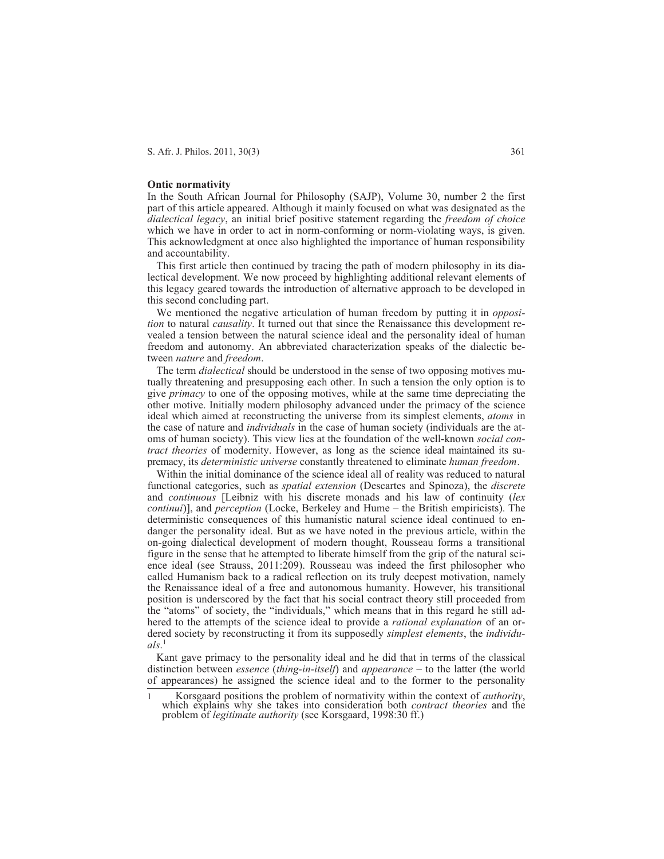#### **Ontic normativity**

In the South African Journal for Philosophy (SAJP), Volume 30, number 2 the first part of this article appeared. Although it mainly focused on what was designated as the *dialectical legacy*, an initial brief positive statement regarding the *freedom of choice* which we have in order to act in norm-conforming or norm-violating ways, is given. This acknowledgment at once also highlighted the importance of human responsibility and accountability.

This first article then continued by tracing the path of modern philosophy in its dialectical development. We now proceed by highlighting additional relevant elements of this legacy geared towards the introduction of alternative approach to be developed in this second concluding part.

We mentioned the negative articulation of human freedom by putting it in *opposition* to natural *causality*. It turned out that since the Renaissance this development revealed a tension between the natural science ideal and the personality ideal of human freedom and autonomy. An abbreviated characterization speaks of the dialectic between *nature* and *freedom*.

The term *dialectical* should be understood in the sense of two opposing motives mutually threatening and presupposing each other. In such a tension the only option is to give *primacy* to one of the opposing motives, while at the same time depreciating the other motive. Initially modern philosophy advanced under the primacy of the science ideal which aimed at reconstructing the universe from its simplest elements, *atoms* in the case of nature and *individuals* in the case of human society (individuals are the atoms of human society). This view lies at the foundation of the well-known *social contract theories* of modernity. However, as long as the science ideal maintained its supremacy, its *deterministic universe* constantly threatened to eliminate *human freedom*.

Within the initial dominance of the science ideal all of reality was reduced to natural functional categories, such as *spatial extension* (Descartes and Spinoza), the *discrete* and *continuous* [Leibniz with his discrete monads and his law of continuity (*lex continui*)], and *perception* (Locke, Berkeley and Hume – the British empiricists). The deterministic consequences of this humanistic natural science ideal continued to endanger the personality ideal. But as we have noted in the previous article, within the on-going dialectical development of modern thought, Rousseau forms a transitional figure in the sense that he attempted to liberate himself from the grip of the natural science ideal (see Strauss, 2011:209). Rousseau was indeed the first philosopher who called Humanism back to a radical reflection on its truly deepest motivation, namely the Renaissance ideal of a free and autonomous humanity. However, his transitional position is underscored by the fact that his social contract theory still proceeded from the "atoms" of society, the "individuals," which means that in this regard he still adhered to the attempts of the science ideal to provide a *rational explanation* of an ordered society by reconstructing it from its supposedly *simplest elements*, the *individuals*. 1

Kant gave primacy to the personality ideal and he did that in terms of the classical distinction between *essence* (*thing-in-itself*) and *appearance* – to the latter (the world of appearances) he assigned the science ideal and to the former to the personality

<sup>1</sup> Korsgaard positions the problem of normativity within the context of *authority*, which explains why she takes into consideration both *contract theories* and the problem of *legitimate authority* (see Korsgaard, 1998:30 ff.)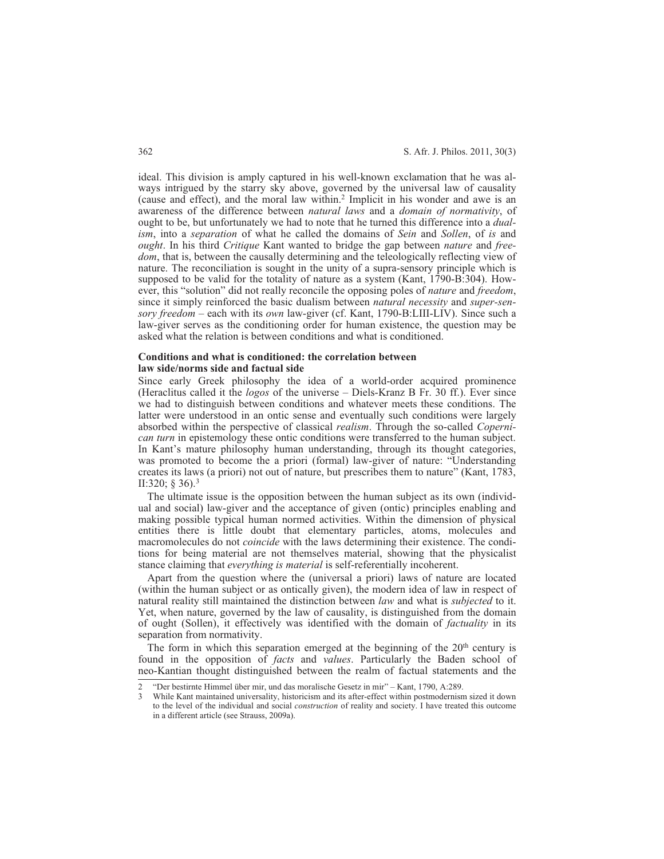ideal. This division is amply captured in his well-known exclamation that he was always intrigued by the starry sky above, governed by the universal law of causality (cause and effect), and the moral law within.2 Implicit in his wonder and awe is an awareness of the difference between *natural laws* and a *domain of normativity*, of ought to be, but unfortunately we had to note that he turned this difference into a *dualism*, into a *separation* of what he called the domains of *Sein* and *Sollen*, of *is* and *ought*. In his third *Critique* Kant wanted to bridge the gap between *nature* and *freedom*, that is, between the causally determining and the teleologically reflecting view of nature. The reconciliation is sought in the unity of a supra-sensory principle which is supposed to be valid for the totality of nature as a system (Kant, 1790-B:304). However, this "solution" did not really reconcile the opposing poles of *nature* and *freedom*, since it simply reinforced the basic dualism between *natural necessity* and *super-sensory freedom* – each with its *own* law-giver (cf. Kant, 1790-B:LIII-LIV). Since such a law-giver serves as the conditioning order for human existence, the question may be asked what the relation is between conditions and what is conditioned.

## **Conditions and what is conditioned: the correlation between law side/norms side and factual side**

Since early Greek philosophy the idea of a world-order acquired prominence (Heraclitus called it the *logos* of the universe – Diels-Kranz B Fr. 30 ff.). Ever since we had to distinguish between conditions and whatever meets these conditions. The latter were understood in an ontic sense and eventually such conditions were largely absorbed within the perspective of classical *realism*. Through the so-called *Copernican turn* in epistemology these ontic conditions were transferred to the human subject. In Kant's mature philosophy human understanding, through its thought categories, was promoted to become the a priori (formal) law-giver of nature: "Understanding creates its laws (a priori) not out of nature, but prescribes them to nature" (Kant, 1783, II:320; § 36).3

The ultimate issue is the opposition between the human subject as its own (individual and social) law-giver and the acceptance of given (ontic) principles enabling and making possible typical human normed activities. Within the dimension of physical entities there is little doubt that elementary particles, atoms, molecules and macromolecules do not *coincide* with the laws determining their existence. The conditions for being material are not themselves material, showing that the physicalist stance claiming that *everything is material* is self-referentially incoherent.

Apart from the question where the (universal a priori) laws of nature are located (within the human subject or as ontically given), the modern idea of law in respect of natural reality still maintained the distinction between *law* and what is *subjected* to it. Yet, when nature, governed by the law of causality, is distinguished from the domain of ought (Sollen), it effectively was identified with the domain of *factuality* in its separation from normativity.

The form in which this separation emerged at the beginning of the  $20<sup>th</sup>$  century is found in the opposition of *facts* and *values*. Particularly the Baden school of neo-Kantian thought distinguished between the realm of factual statements and the

<sup>2 &</sup>quot;Der bestirnte Himmel über mir, und das moralische Gesetz in mir" – Kant, 1790, A:289.

<sup>3</sup> While Kant maintained universality, historicism and its after-effect within postmodernism sized it down to the level of the individual and social *construction* of reality and society. I have treated this outcome in a different article (see Strauss, 2009a).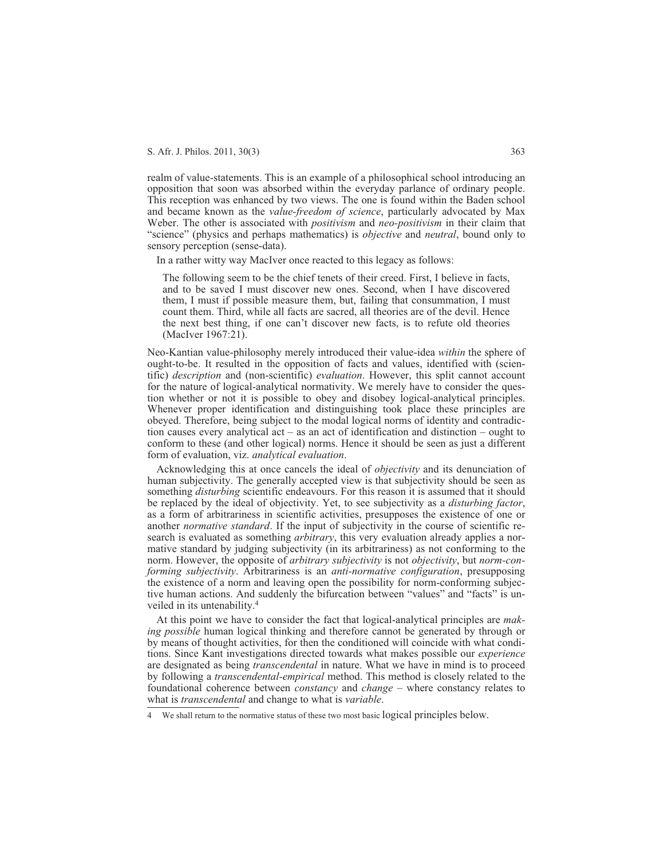realm of value-statements. This is an example of a philosophical school introducing an opposition that soon was absorbed within the everyday parlance of ordinary people. This reception was enhanced by two views. The one is found within the Baden school and became known as the *value-freedom of science*, particularly advocated by Max Weber. The other is associated with *positivism* and *neo-positivism* in their claim that "science" (physics and perhaps mathematics) is *objective* and *neutral*, bound only to sensory perception (sense-data).

In a rather witty way MacIver once reacted to this legacy as follows:

The following seem to be the chief tenets of their creed. First, I believe in facts, and to be saved I must discover new ones. Second, when I have discovered them, I must if possible measure them, but, failing that consummation, I must count them. Third, while all facts are sacred, all theories are of the devil. Hence the next best thing, if one can't discover new facts, is to refute old theories (MacIver 1967:21).

Neo-Kantian value-philosophy merely introduced their value-idea *within* the sphere of ought-to-be. It resulted in the opposition of facts and values, identified with (scientific) *description* and (non-scientific) *evaluation*. However, this split cannot account for the nature of logical-analytical normativity. We merely have to consider the question whether or not it is possible to obey and disobey logical-analytical principles. Whenever proper identification and distinguishing took place these principles are obeyed. Therefore, being subject to the modal logical norms of identity and contradiction causes every analytical act – as an act of identification and distinction – ought to conform to these (and other logical) norms. Hence it should be seen as just a different form of evaluation, viz. *analytical evaluation*.

Acknowledging this at once cancels the ideal of *objectivity* and its denunciation of human subjectivity. The generally accepted view is that subjectivity should be seen as something *disturbing* scientific endeavours. For this reason it is assumed that it should be replaced by the ideal of objectivity. Yet, to see subjectivity as a *disturbing factor*, as a form of arbitrariness in scientific activities, presupposes the existence of one or another *normative standard*. If the input of subjectivity in the course of scientific research is evaluated as something *arbitrary*, this very evaluation already applies a normative standard by judging subjectivity (in its arbitrariness) as not conforming to the norm. However, the opposite of *arbitrary subjectivity* is not *objectivity*, but *norm-conforming subjectivity*. Arbitrariness is an *anti-normative configuration*, presupposing the existence of a norm and leaving open the possibility for norm-conforming subjective human actions. And suddenly the bifurcation between "values" and "facts" is unveiled in its untenability.4

At this point we have to consider the fact that logical-analytical principles are *making possible* human logical thinking and therefore cannot be generated by through or by means of thought activities, for then the conditioned will coincide with what conditions. Since Kant investigations directed towards what makes possible our *experience* are designated as being *transcendental* in nature. What we have in mind is to proceed by following a *transcendental-empirical* method. This method is closely related to the foundational coherence between *constancy* and *change* – where constancy relates to what is *transcendental* and change to what is *variable*.

<sup>4</sup> We shall return to the normative status of these two most basic logical principles below.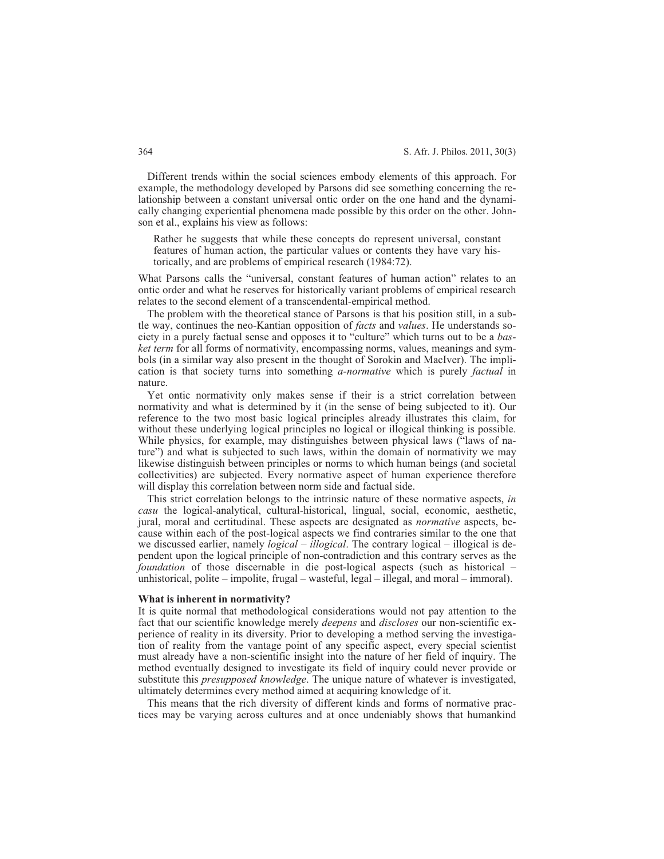Different trends within the social sciences embody elements of this approach. For example, the methodology developed by Parsons did see something concerning the relationship between a constant universal ontic order on the one hand and the dynamically changing experiential phenomena made possible by this order on the other. Johnson et al., explains his view as follows:

Rather he suggests that while these concepts do represent universal, constant features of human action, the particular values or contents they have vary historically, and are problems of empirical research (1984:72).

What Parsons calls the "universal, constant features of human action" relates to an ontic order and what he reserves for historically variant problems of empirical research relates to the second element of a transcendental-empirical method.

The problem with the theoretical stance of Parsons is that his position still, in a subtle way, continues the neo-Kantian opposition of *facts* and *values*. He understands society in a purely factual sense and opposes it to "culture" which turns out to be a *basket term* for all forms of normativity, encompassing norms, values, meanings and symbols (in a similar way also present in the thought of Sorokin and MacIver). The implication is that society turns into something *a-normative* which is purely *factual* in nature.

Yet ontic normativity only makes sense if their is a strict correlation between normativity and what is determined by it (in the sense of being subjected to it). Our reference to the two most basic logical principles already illustrates this claim, for without these underlying logical principles no logical or illogical thinking is possible. While physics, for example, may distinguishes between physical laws ("laws of nature") and what is subjected to such laws, within the domain of normativity we may likewise distinguish between principles or norms to which human beings (and societal collectivities) are subjected. Every normative aspect of human experience therefore will display this correlation between norm side and factual side.

This strict correlation belongs to the intrinsic nature of these normative aspects, *in casu* the logical-analytical, cultural-historical, lingual, social, economic, aesthetic, jural, moral and certitudinal. These aspects are designated as *normative* aspects, because within each of the post-logical aspects we find contraries similar to the one that we discussed earlier, namely *logical – illogical*. The contrary logical – illogical is dependent upon the logical principle of non-contradiction and this contrary serves as the *foundation* of those discernable in die post-logical aspects (such as historical – unhistorical, polite – impolite, frugal – wasteful, legal – illegal, and moral – immoral).

#### **What is inherent in normativity?**

It is quite normal that methodological considerations would not pay attention to the fact that our scientific knowledge merely *deepens* and *discloses* our non-scientific experience of reality in its diversity. Prior to developing a method serving the investigation of reality from the vantage point of any specific aspect, every special scientist must already have a non-scientific insight into the nature of her field of inquiry. The method eventually designed to investigate its field of inquiry could never provide or substitute this *presupposed knowledge*. The unique nature of whatever is investigated, ultimately determines every method aimed at acquiring knowledge of it.

This means that the rich diversity of different kinds and forms of normative practices may be varying across cultures and at once undeniably shows that humankind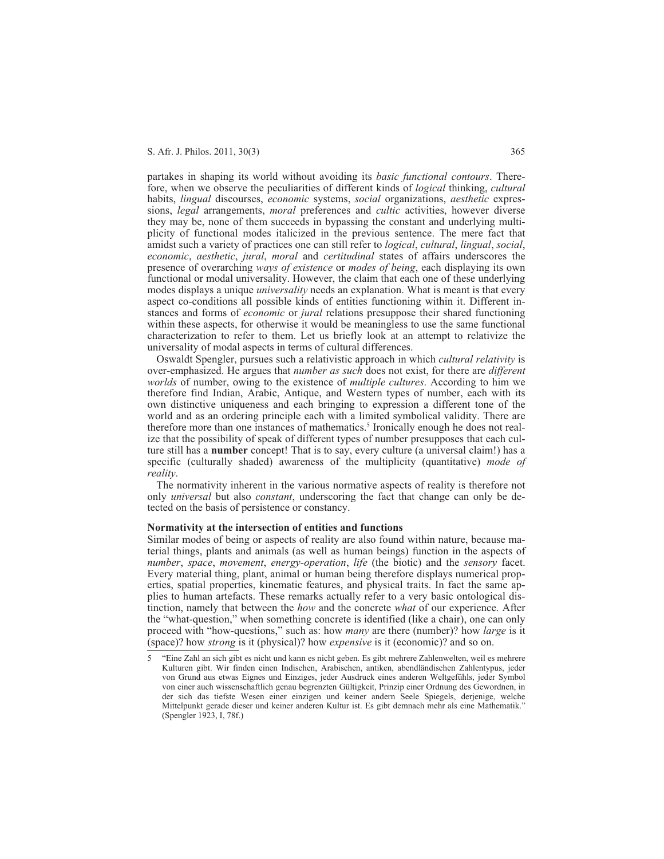partakes in shaping its world without avoiding its *basic functional contours*. Therefore, when we observe the peculiarities of different kinds of *logical* thinking, *cultural* habits, *lingual* discourses, *economic* systems, *social* organizations, *aesthetic* expressions, *legal* arrangements, *moral* preferences and *cultic* activities, however diverse they may be, none of them succeeds in bypassing the constant and underlying multiplicity of functional modes italicized in the previous sentence. The mere fact that amidst such a variety of practices one can still refer to *logical*, *cultural*, *lingual*, *social*, *economic*, *aesthetic*, *jural*, *moral* and *certitudinal* states of affairs underscores the presence of overarching *ways of existence* or *modes of being*, each displaying its own functional or modal universality. However, the claim that each one of these underlying modes displays a unique *universality* needs an explanation. What is meant is that every aspect co-conditions all possible kinds of entities functioning within it. Different instances and forms of *economic* or *jural* relations presuppose their shared functioning within these aspects, for otherwise it would be meaningless to use the same functional characterization to refer to them. Let us briefly look at an attempt to relativize the universality of modal aspects in terms of cultural differences.

Oswaldt Spengler, pursues such a relativistic approach in which *cultural relativity* is over-emphasized. He argues that *number as such* does not exist, for there are *different worlds* of number, owing to the existence of *multiple cultures*. According to him we therefore find Indian, Arabic, Antique, and Western types of number, each with its own distinctive uniqueness and each bringing to expression a different tone of the world and as an ordering principle each with a limited symbolical validity. There are therefore more than one instances of mathematics.<sup>5</sup> Ironically enough he does not realize that the possibility of speak of different types of number presupposes that each culture still has a **number** concept! That is to say, every culture (a universal claim!) has a specific (culturally shaded) awareness of the multiplicity (quantitative) *mode of reality*.

The normativity inherent in the various normative aspects of reality is therefore not only *universal* but also *constant*, underscoring the fact that change can only be detected on the basis of persistence or constancy.

#### **Normativity at the intersection of entities and functions**

Similar modes of being or aspects of reality are also found within nature, because material things, plants and animals (as well as human beings) function in the aspects of *number*, *space*, *movement*, *energy-operation*, *life* (the biotic) and the *sensory* facet. Every material thing, plant, animal or human being therefore displays numerical properties, spatial properties, kinematic features, and physical traits. In fact the same applies to human artefacts. These remarks actually refer to a very basic ontological distinction, namely that between the *how* and the concrete *what* of our experience. After the "what-question," when something concrete is identified (like a chair), one can only proceed with "how-questions," such as: how *many* are there (number)? how *large* is it (space)? how *strong* is it (physical)? how *expensive* is it (economic)? and so on.

<sup>5 &</sup>quot;Eine Zahl an sich gibt es nicht und kann es nicht geben. Es gibt mehrere Zahlenwelten, weil es mehrere Kulturen gibt. Wir finden einen Indischen, Arabischen, antiken, abendländischen Zahlentypus, jeder von Grund aus etwas Eignes und Einziges, jeder Ausdruck eines anderen Weltgefühls, jeder Symbol von einer auch wissenschaftlich genau begrenzten Gültigkeit, Prinzip einer Ordnung des Gewordnen, in der sich das tiefste Wesen einer einzigen und keiner andern Seele Spiegels, derjenige, welche Mittelpunkt gerade dieser und keiner anderen Kultur ist. Es gibt demnach mehr als eine Mathematik." (Spengler 1923, I, 78f.)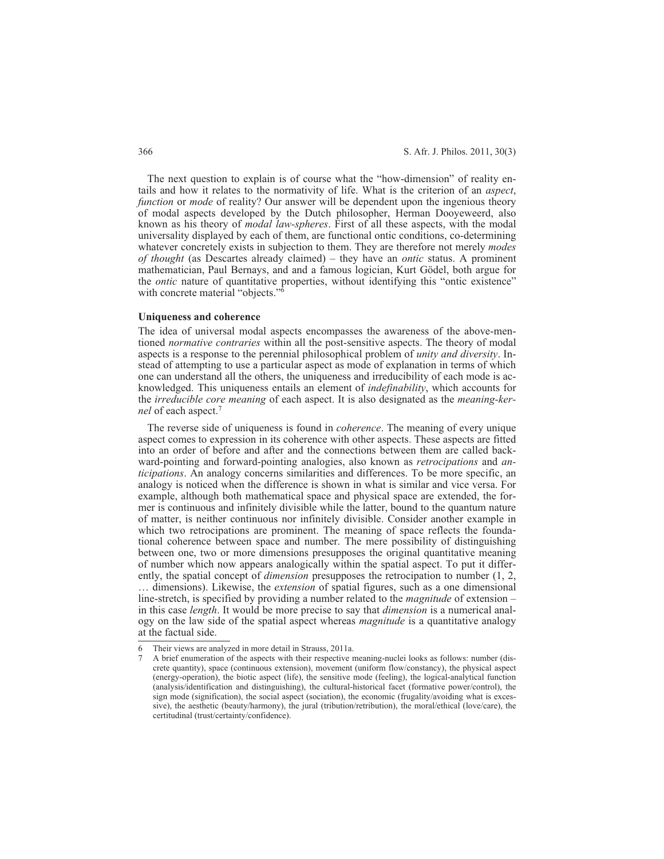The next question to explain is of course what the "how-dimension" of reality entails and how it relates to the normativity of life. What is the criterion of an *aspect*, *function* or *mode* of reality? Our answer will be dependent upon the ingenious theory of modal aspects developed by the Dutch philosopher, Herman Dooyeweerd, also known as his theory of *modal law-spheres*. First of all these aspects, with the modal universality displayed by each of them, are functional ontic conditions, co-determining whatever concretely exists in subjection to them. They are therefore not merely *modes of thought* (as Descartes already claimed) – they have an *ontic* status. A prominent mathematician, Paul Bernays, and and a famous logician, Kurt Gödel, both argue for the *ontic* nature of quantitative properties, without identifying this "ontic existence" with concrete material "objects."<sup>6</sup>

#### **Uniqueness and coherence**

The idea of universal modal aspects encompasses the awareness of the above-mentioned *normative contraries* within all the post-sensitive aspects. The theory of modal aspects is a response to the perennial philosophical problem of *unity and diversity*. Instead of attempting to use a particular aspect as mode of explanation in terms of which one can understand all the others, the uniqueness and irreducibility of each mode is acknowledged. This uniqueness entails an element of *indefinability*, which accounts for the *irreducible core meaning* of each aspect. It is also designated as the *meaning-kernel* of each aspect.7

The reverse side of uniqueness is found in *coherence*. The meaning of every unique aspect comes to expression in its coherence with other aspects. These aspects are fitted into an order of before and after and the connections between them are called backward-pointing and forward-pointing analogies, also known as *retrocipations* and *anticipations*. An analogy concerns similarities and differences. To be more specific, an analogy is noticed when the difference is shown in what is similar and vice versa. For example, although both mathematical space and physical space are extended, the former is continuous and infinitely divisible while the latter, bound to the quantum nature of matter, is neither continuous nor infinitely divisible. Consider another example in which two retrocipations are prominent. The meaning of space reflects the foundational coherence between space and number. The mere possibility of distinguishing between one, two or more dimensions presupposes the original quantitative meaning of number which now appears analogically within the spatial aspect. To put it differently, the spatial concept of *dimension* presupposes the retrocipation to number (1, 2, … dimensions). Likewise, the *extension* of spatial figures, such as a one dimensional line-stretch, is specified by providing a number related to the *magnitude* of extension – in this case *length*. It would be more precise to say that *dimension* is a numerical analogy on the law side of the spatial aspect whereas *magnitude* is a quantitative analogy

at the factual side.

<sup>6</sup> Their views are analyzed in more detail in Strauss, 2011a.

<sup>7</sup> A brief enumeration of the aspects with their respective meaning-nuclei looks as follows: number (discrete quantity), space (continuous extension), movement (uniform flow/constancy), the physical aspect (energy-operation), the biotic aspect (life), the sensitive mode (feeling), the logical-analytical function (analysis/identification and distinguishing), the cultural-historical facet (formative power/control), the sign mode (signification), the social aspect (sociation), the economic (frugality/avoiding what is excessive), the aesthetic (beauty/harmony), the jural (tribution/retribution), the moral/ethical (love/care), the certitudinal (trust/certainty/confidence).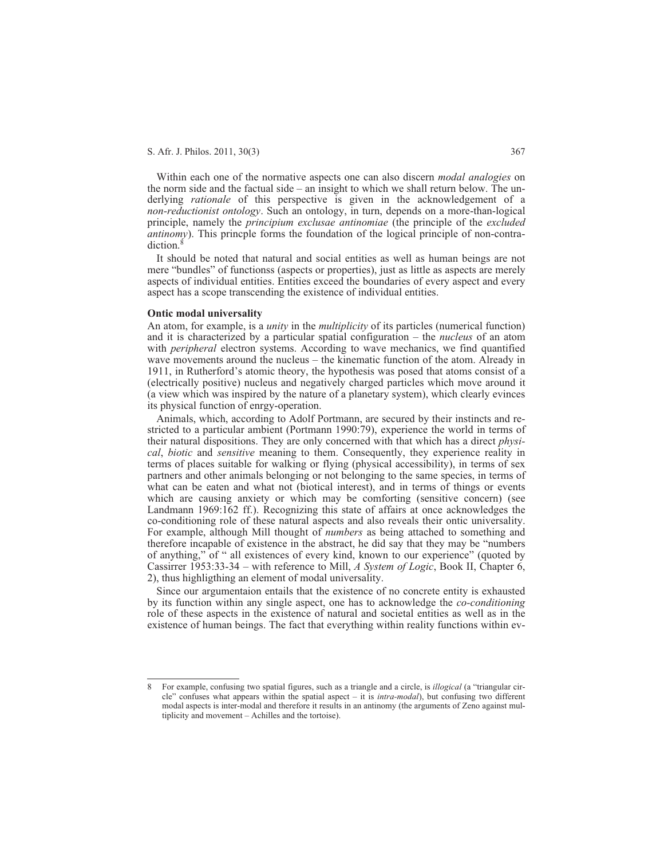Within each one of the normative aspects one can also discern *modal analogies* on the norm side and the factual side – an insight to which we shall return below. The underlying *rationale* of this perspective is given in the acknowledgement of a *non-reductionist ontology*. Such an ontology, in turn, depends on a more-than-logical principle, namely the *principium exclusae antinomiae* (the principle of the *excluded antinomy*). This princple forms the foundation of the logical principle of non-contradiction.<sup>8</sup>

It should be noted that natural and social entities as well as human beings are not mere "bundles" of functionss (aspects or properties), just as little as aspects are merely aspects of individual entities. Entities exceed the boundaries of every aspect and every aspect has a scope transcending the existence of individual entities.

#### **Ontic modal universality**

An atom, for example, is a *unity* in the *multiplicity* of its particles (numerical function) and it is characterized by a particular spatial configuration – the *nucleus* of an atom with *peripheral* electron systems. According to wave mechanics, we find quantified wave movements around the nucleus – the kinematic function of the atom. Already in 1911, in Rutherford's atomic theory, the hypothesis was posed that atoms consist of a (electrically positive) nucleus and negatively charged particles which move around it (a view which was inspired by the nature of a planetary system), which clearly evinces its physical function of enrgy-operation.

Animals, which, according to Adolf Portmann, are secured by their instincts and restricted to a particular ambient (Portmann 1990:79), experience the world in terms of their natural dispositions. They are only concerned with that which has a direct *physical*, *biotic* and *sensitive* meaning to them. Consequently, they experience reality in terms of places suitable for walking or flying (physical accessibility), in terms of sex partners and other animals belonging or not belonging to the same species, in terms of what can be eaten and what not (biotical interest), and in terms of things or events which are causing anxiety or which may be comforting (sensitive concern) (see Landmann 1969:162 ff.). Recognizing this state of affairs at once acknowledges the co-conditioning role of these natural aspects and also reveals their ontic universality. For example, although Mill thought of *numbers* as being attached to something and therefore incapable of existence in the abstract, he did say that they may be "numbers of anything," of " all existences of every kind, known to our experience" (quoted by Cassirrer 1953:33-34 – with reference to Mill, *A System of Logic*, Book II, Chapter 6, 2), thus highligthing an element of modal universality.

Since our argumentaion entails that the existence of no concrete entity is exhausted by its function within any single aspect, one has to acknowledge the *co-conditioning* role of these aspects in the existence of natural and societal entities as well as in the existence of human beings. The fact that everything within reality functions within ev-

<sup>8</sup> For example, confusing two spatial figures, such as a triangle and a circle, is *illogical* (a "triangular circle" confuses what appears within the spatial aspect – it is *intra-modal*), but confusing two different modal aspects is inter-modal and therefore it results in an antinomy (the arguments of Zeno against multiplicity and movement – Achilles and the tortoise).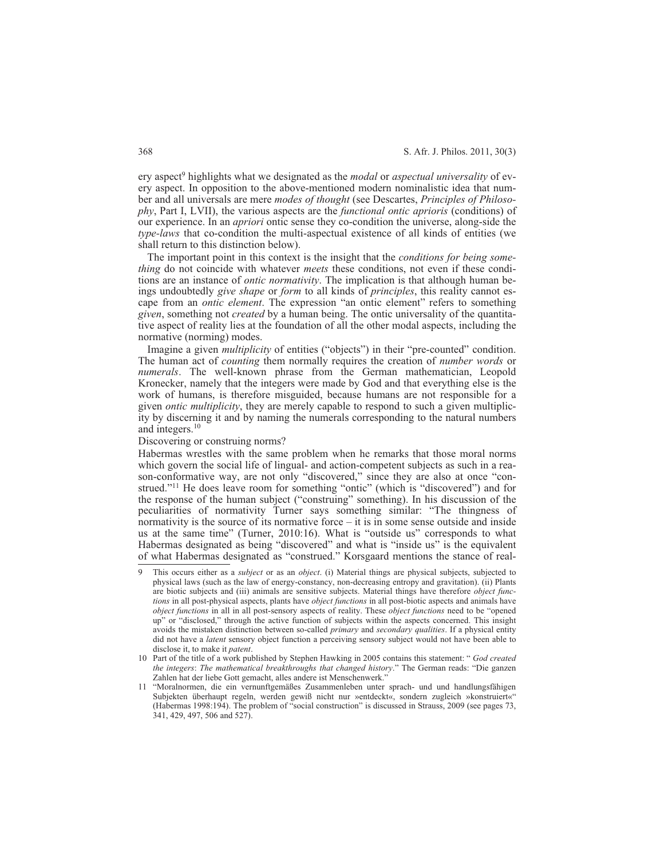ery aspect9 highlights what we designated as the *modal* or *aspectual universality* of every aspect. In opposition to the above-mentioned modern nominalistic idea that number and all universals are mere *modes of thought* (see Descartes, *Principles of Philosophy*, Part I, LVII), the various aspects are the *functional ontic aprioris* (conditions) of our experience. In an *apriori* ontic sense they co-condition the universe, along-side the *type-laws* that co-condition the multi-aspectual existence of all kinds of entities (we shall return to this distinction below).

The important point in this context is the insight that the *conditions for being something* do not coincide with whatever *meets* these conditions, not even if these conditions are an instance of *ontic normativity*. The implication is that although human beings undoubtedly *give shape* or *form* to all kinds of *principles*, this reality cannot escape from an *ontic element*. The expression "an ontic element" refers to something *given*, something not *created* by a human being. The ontic universality of the quantitative aspect of reality lies at the foundation of all the other modal aspects, including the normative (norming) modes.

Imagine a given *multiplicity* of entities ("objects") in their "pre-counted" condition. The human act of *counting* them normally requires the creation of *number words* or *numerals*. The well-known phrase from the German mathematician, Leopold Kronecker, namely that the integers were made by God and that everything else is the work of humans, is therefore misguided, because humans are not responsible for a given *ontic multiplicity*, they are merely capable to respond to such a given multiplicity by discerning it and by naming the numerals corresponding to the natural numbers and integers.10

## Discovering or construing norms?

Habermas wrestles with the same problem when he remarks that those moral norms which govern the social life of lingual- and action-competent subjects as such in a reason-conformative way, are not only "discovered," since they are also at once "construed."11 He does leave room for something "ontic" (which is "discovered") and for the response of the human subject ("construing" something). In his discussion of the peculiarities of normativity Turner says something similar: "The thingness of normativity is the source of its normative force  $-$  it is in some sense outside and inside us at the same time" (Turner, 2010:16). What is "outside us" corresponds to what Habermas designated as being "discovered" and what is "inside us" is the equivalent of what Habermas designated as "construed." Korsgaard mentions the stance of real-

<sup>9</sup> This occurs either as a *subject* or as an *object*. (i) Material things are physical subjects, subjected to physical laws (such as the law of energy-constancy, non-decreasing entropy and gravitation). (ii) Plants are biotic subjects and (iii) animals are sensitive subjects. Material things have therefore *object functions* in all post-physical aspects, plants have *object functions* in all post-biotic aspects and animals have *object functions* in all in all post-sensory aspects of reality. These *object functions* need to be "opened up" or "disclosed," through the active function of subjects within the aspects concerned. This insight avoids the mistaken distinction between so-called *primary* and *secondary qualities*. If a physical entity did not have a *latent* sensory object function a perceiving sensory subject would not have been able to disclose it, to make it *patent*.

<sup>10</sup> Part of the title of a work published by Stephen Hawking in 2005 contains this statement: " *God created the integers*: *The mathematical breakthroughs that changed history*." The German reads: "Die ganzen Zahlen hat der liebe Gott gemacht, alles andere ist Menschenwerk."

<sup>11 &</sup>quot;Moralnormen, die ein vernunftgemäßes Zusammenleben unter sprach- und und handlungsfähigen Subjekten überhaupt regeln, werden gewiß nicht nur »entdeckt«, sondern zugleich »konstruiert«" (Habermas 1998:194). The problem of "social construction" is discussed in Strauss, 2009 (see pages 73, 341, 429, 497, 506 and 527).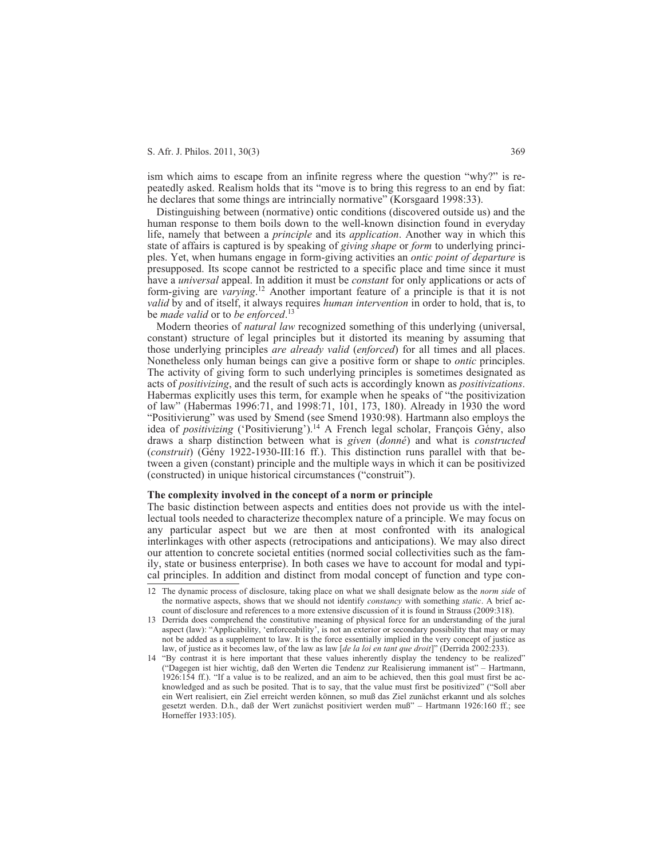ism which aims to escape from an infinite regress where the question "why?" is repeatedly asked. Realism holds that its "move is to bring this regress to an end by fiat: he declares that some things are intrincially normative" (Korsgaard 1998:33).

Distinguishing between (normative) ontic conditions (discovered outside us) and the human response to them boils down to the well-known disinction found in everyday life, namely that between a *principle* and its *application*. Another way in which this state of affairs is captured is by speaking of *giving shape* or *form* to underlying principles. Yet, when humans engage in form-giving activities an *ontic point of departure* is presupposed. Its scope cannot be restricted to a specific place and time since it must have a *universal* appeal. In addition it must be *constant* for only applications or acts of form-giving are *varying*. <sup>12</sup> Another important feature of a principle is that it is not *valid* by and of itself, it always requires *human intervention* in order to hold, that is, to be *made valid* or to *be enforced*. 13

Modern theories of *natural law* recognized something of this underlying (universal, constant) structure of legal principles but it distorted its meaning by assuming that those underlying principles *are already valid* (*enforced*) for all times and all places. Nonetheless only human beings can give a positive form or shape to *ontic* principles. The activity of giving form to such underlying principles is sometimes designated as acts of *positivizing*, and the result of such acts is accordingly known as *positivizations*. Habermas explicitly uses this term, for example when he speaks of "the positivization of law" (Habermas 1996:71, and 1998:71, 101, 173, 180). Already in 1930 the word "Positivierung" was used by Smend (see Smend 1930:98). Hartmann also employs the idea of *positivizing* ('Positivierung').14 A French legal scholar, François Gény, also draws a sharp distinction between what is *given* (*donné*) and what is *constructed* (*construit*) (Gény 1922-1930-III:16 ff.). This distinction runs parallel with that between a given (constant) principle and the multiple ways in which it can be positivized (constructed) in unique historical circumstances ("construit").

#### **The complexity involved in the concept of a norm or principle**

The basic distinction between aspects and entities does not provide us with the intellectual tools needed to characterize thecomplex nature of a principle. We may focus on any particular aspect but we are then at most confronted with its analogical interlinkages with other aspects (retrocipations and anticipations). We may also direct our attention to concrete societal entities (normed social collectivities such as the family, state or business enterprise). In both cases we have to account for modal and typical principles. In addition and distinct from modal concept of function and type con-

<sup>12</sup> The dynamic process of disclosure, taking place on what we shall designate below as the *norm side* of the normative aspects, shows that we should not identify *constancy* with something *static*. A brief account of disclosure and references to a more extensive discussion of it is found in Strauss (2009:318).

<sup>13</sup> Derrida does comprehend the constitutive meaning of physical force for an understanding of the jural aspect (law): "Applicability, 'enforceability', is not an exterior or secondary possibility that may or may not be added as a supplement to law. It is the force essentially implied in the very concept of justice as law, of justice as it becomes law, of the law as law [*de la loi en tant que droit*]" (Derrida 2002:233).

<sup>14 &</sup>quot;By contrast it is here important that these values inherently display the tendency to be realized" ("Dagegen ist hier wichtig, daß den Werten die Tendenz zur Realisierung immanent ist" – Hartmann, 1926:154 ff.). "If a value is to be realized, and an aim to be achieved, then this goal must first be acknowledged and as such be posited. That is to say, that the value must first be positivized" ("Soll aber ein Wert realisiert, ein Ziel erreicht werden können, so muß das Ziel zunächst erkannt und als solches gesetzt werden. D.h., daß der Wert zunächst positiviert werden muß" – Hartmann 1926:160 ff.; see Horneffer 1933:105).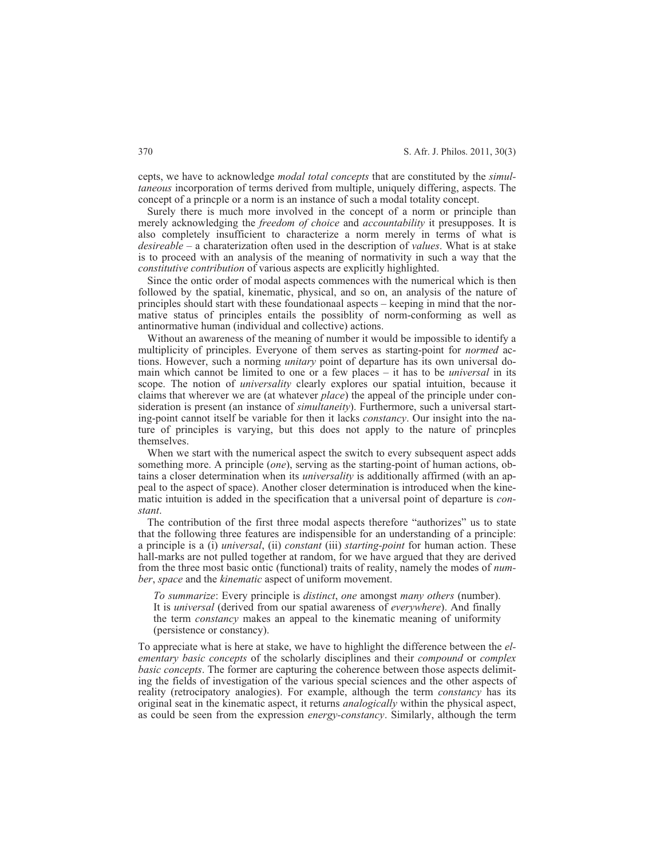cepts, we have to acknowledge *modal total concepts* that are constituted by the *simultaneous* incorporation of terms derived from multiple, uniquely differing, aspects. The concept of a princple or a norm is an instance of such a modal totality concept.

Surely there is much more involved in the concept of a norm or principle than merely acknowledging the *freedom of choice* and *accountability* it presupposes. It is also completely insufficient to characterize a norm merely in terms of what is *desireable* – a charaterization often used in the description of *values*. What is at stake is to proceed with an analysis of the meaning of normativity in such a way that the *constitutive contribution* of various aspects are explicitly highlighted.

Since the ontic order of modal aspects commences with the numerical which is then followed by the spatial, kinematic, physical, and so on, an analysis of the nature of principles should start with these foundationaal aspects – keeping in mind that the normative status of principles entails the possiblity of norm-conforming as well as antinormative human (individual and collective) actions.

Without an awareness of the meaning of number it would be impossible to identify a multiplicity of principles. Everyone of them serves as starting-point for *normed* actions. However, such a norming *unitary* point of departure has its own universal domain which cannot be limited to one or a few places – it has to be *universal* in its scope. The notion of *universality* clearly explores our spatial intuition, because it claims that wherever we are (at whatever *place*) the appeal of the principle under consideration is present (an instance of *simultaneity*). Furthermore, such a universal starting-point cannot itself be variable for then it lacks *constancy*. Our insight into the nature of principles is varying, but this does not apply to the nature of princples themselves.

When we start with the numerical aspect the switch to every subsequent aspect adds something more. A principle (*one*), serving as the starting-point of human actions, obtains a closer determination when its *universality* is additionally affirmed (with an appeal to the aspect of space). Another closer determination is introduced when the kinematic intuition is added in the specification that a universal point of departure is *constant*.

The contribution of the first three modal aspects therefore "authorizes" us to state that the following three features are indispensible for an understanding of a principle: a principle is a (i) *universal*, (ii) *constant* (iii) *starting-point* for human action. These hall-marks are not pulled together at random, for we have argued that they are derived from the three most basic ontic (functional) traits of reality, namely the modes of *number*, *space* and the *kinematic* aspect of uniform movement.

*To summarize*: Every principle is *distinct*, *one* amongst *many others* (number). It is *universal* (derived from our spatial awareness of *everywhere*). And finally the term *constancy* makes an appeal to the kinematic meaning of uniformity (persistence or constancy).

To appreciate what is here at stake, we have to highlight the difference between the *elementary basic concepts* of the scholarly disciplines and their *compound* or *complex basic concepts*. The former are capturing the coherence between those aspects delimiting the fields of investigation of the various special sciences and the other aspects of reality (retrocipatory analogies). For example, although the term *constancy* has its original seat in the kinematic aspect, it returns *analogically* within the physical aspect, as could be seen from the expression *energy-constancy*. Similarly, although the term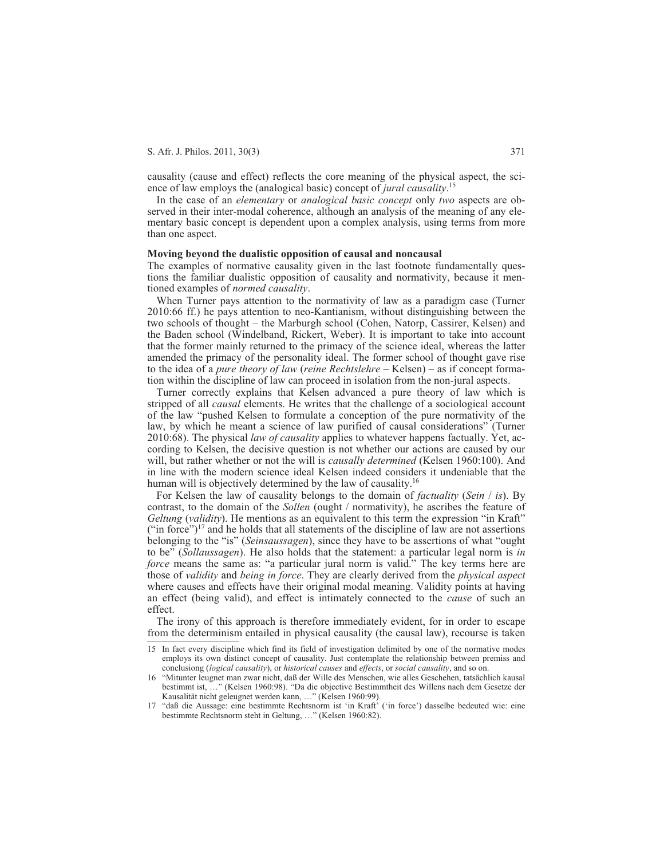causality (cause and effect) reflects the core meaning of the physical aspect, the science of law employs the (analogical basic) concept of *jural causality*. 15

In the case of an *elementary* or *analogical basic concept* only *two* aspects are observed in their inter-modal coherence, although an analysis of the meaning of any elementary basic concept is dependent upon a complex analysis, using terms from more than one aspect.

#### **Moving beyond the dualistic opposition of causal and noncausal**

The examples of normative causality given in the last footnote fundamentally questions the familiar dualistic opposition of causality and normativity, because it mentioned examples of *normed causality*.

When Turner pays attention to the normativity of law as a paradigm case (Turner 2010:66 ff.) he pays attention to neo-Kantianism, without distinguishing between the two schools of thought – the Marburgh school (Cohen, Natorp, Cassirer, Kelsen) and the Baden school (Windelband, Rickert, Weber). It is important to take into account that the former mainly returned to the primacy of the science ideal, whereas the latter amended the primacy of the personality ideal. The former school of thought gave rise to the idea of a *pure theory of law* (*reine Rechtslehre* – Kelsen) – as if concept formation within the discipline of law can proceed in isolation from the non-jural aspects.

Turner correctly explains that Kelsen advanced a pure theory of law which is stripped of all *causal* elements. He writes that the challenge of a sociological account of the law "pushed Kelsen to formulate a conception of the pure normativity of the law, by which he meant a science of law purified of causal considerations" (Turner 2010:68). The physical *law of causality* applies to whatever happens factually. Yet, according to Kelsen, the decisive question is not whether our actions are caused by our will, but rather whether or not the will is *causally determined* (Kelsen 1960:100). And in line with the modern science ideal Kelsen indeed considers it undeniable that the human will is objectively determined by the law of causality.<sup>16</sup>

For Kelsen the law of causality belongs to the domain of *factuality* (*Sein* / *is*). By contrast, to the domain of the *Sollen* (ought / normativity), he ascribes the feature of *Geltung* (*validity*). He mentions as an equivalent to this term the expression "in Kraft" ("in force")<sup>17</sup> and he holds that all statements of the discipline of law are not assertions belonging to the "is" (*Seinsaussagen*), since they have to be assertions of what "ought to be" (*Sollaussagen*). He also holds that the statement: a particular legal norm is *in force* means the same as: "a particular jural norm is valid." The key terms here are those of *validity* and *being in force*. They are clearly derived from the *physical aspect* where causes and effects have their original modal meaning. Validity points at having an effect (being valid), and effect is intimately connected to the *cause* of such an effect.

The irony of this approach is therefore immediately evident, for in order to escape from the determinism entailed in physical causality (the causal law), recourse is taken

<sup>15</sup> In fact every discipline which find its field of investigation delimited by one of the normative modes employs its own distinct concept of causality. Just contemplate the relationship between premiss and conclusiong (*logical causality*), or *historical causes* and *effects*, or *social causality*, and so on.

<sup>16 &</sup>quot;Mitunter leugnet man zwar nicht, daß der Wille des Menschen, wie alles Geschehen, tatsächlich kausal bestimmt ist, …" (Kelsen 1960:98). "Da die objective Bestimmtheit des Willens nach dem Gesetze der Kausalität nicht geleugnet werden kann, …" (Kelsen 1960:99).

<sup>17 &</sup>quot;daß die Aussage: eine bestimmte Rechtsnorm ist 'in Kraft' ('in force') dasselbe bedeuted wie: eine bestimmte Rechtsnorm steht in Geltung, …" (Kelsen 1960:82).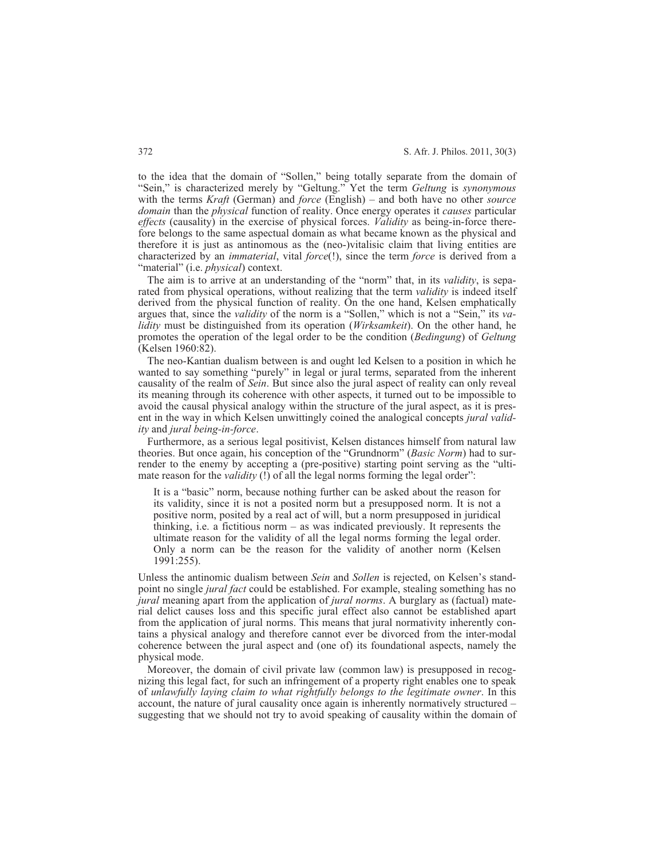to the idea that the domain of "Sollen," being totally separate from the domain of "Sein," is characterized merely by "Geltung." Yet the term *Geltung* is *synonymous* with the terms *Kraft* (German) and *force* (English) – and both have no other *source domain* than the *physical* function of reality. Once energy operates it *causes* particular *effects* (causality) in the exercise of physical forces. *Validity* as being-in-force therefore belongs to the same aspectual domain as what became known as the physical and therefore it is just as antinomous as the (neo-)vitalisic claim that living entities are characterized by an *immaterial*, vital *force*(!), since the term *force* is derived from a "material" (i.e. *physical*) context.

The aim is to arrive at an understanding of the "norm" that, in its *validity*, is separated from physical operations, without realizing that the term *validity* is indeed itself derived from the physical function of reality. On the one hand, Kelsen emphatically argues that, since the *validity* of the norm is a "Sollen," which is not a "Sein," its *validity* must be distinguished from its operation (*Wirksamkeit*). On the other hand, he promotes the operation of the legal order to be the condition (*Bedingung*) of *Geltung* (Kelsen 1960:82).

The neo-Kantian dualism between is and ought led Kelsen to a position in which he wanted to say something "purely" in legal or jural terms, separated from the inherent causality of the realm of *Sein*. But since also the jural aspect of reality can only reveal its meaning through its coherence with other aspects, it turned out to be impossible to avoid the causal physical analogy within the structure of the jural aspect, as it is present in the way in which Kelsen unwittingly coined the analogical concepts *jural validity* and *jural being-in-force*.

Furthermore, as a serious legal positivist, Kelsen distances himself from natural law theories. But once again, his conception of the "Grundnorm" (*Basic Norm*) had to surrender to the enemy by accepting a (pre-positive) starting point serving as the "ultimate reason for the *validity* (!) of all the legal norms forming the legal order":

It is a "basic" norm, because nothing further can be asked about the reason for its validity, since it is not a posited norm but a presupposed norm. It is not a positive norm, posited by a real act of will, but a norm presupposed in juridical thinking, i.e. a fictitious norm  $-$  as was indicated previously. It represents the ultimate reason for the validity of all the legal norms forming the legal order. Only a norm can be the reason for the validity of another norm (Kelsen 1991:255).

Unless the antinomic dualism between *Sein* and *Sollen* is rejected, on Kelsen's standpoint no single *jural fact* could be established. For example, stealing something has no *jural* meaning apart from the application of *jural norms*. A burglary as (factual) material delict causes loss and this specific jural effect also cannot be established apart from the application of jural norms. This means that jural normativity inherently contains a physical analogy and therefore cannot ever be divorced from the inter-modal coherence between the jural aspect and (one of) its foundational aspects, namely the physical mode.

Moreover, the domain of civil private law (common law) is presupposed in recognizing this legal fact, for such an infringement of a property right enables one to speak of *unlawfully laying claim to what rightfully belongs to the legitimate owner*. In this account, the nature of jural causality once again is inherently normatively structured – suggesting that we should not try to avoid speaking of causality within the domain of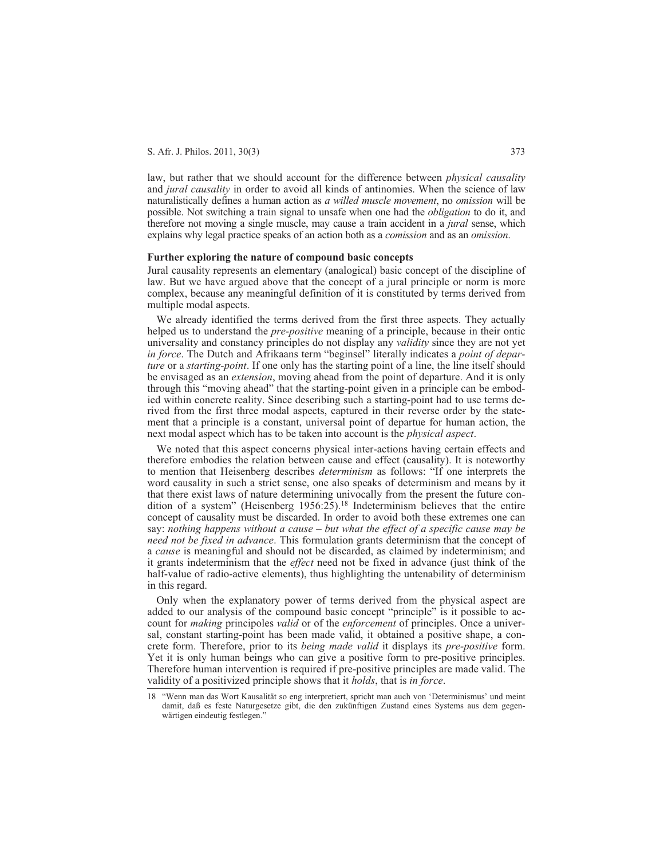law, but rather that we should account for the difference between *physical causality* and *jural causality* in order to avoid all kinds of antinomies. When the science of law naturalistically defines a human action as *a willed muscle movement*, no *omission* will be possible. Not switching a train signal to unsafe when one had the *obligation* to do it, and therefore not moving a single muscle, may cause a train accident in a *jural* sense, which explains why legal practice speaks of an action both as a *comission* and as an *omission*.

## **Further exploring the nature of compound basic concepts**

Jural causality represents an elementary (analogical) basic concept of the discipline of law. But we have argued above that the concept of a jural principle or norm is more complex, because any meaningful definition of it is constituted by terms derived from multiple modal aspects.

We already identified the terms derived from the first three aspects. They actually helped us to understand the *pre-positive* meaning of a principle, because in their ontic universality and constancy principles do not display any *validity* since they are not yet *in force*. The Dutch and Afrikaans term "beginsel" literally indicates a *point of departure* or a *starting-point*. If one only has the starting point of a line, the line itself should be envisaged as an *extension*, moving ahead from the point of departure. And it is only through this "moving ahead" that the starting-point given in a principle can be embodied within concrete reality. Since describing such a starting-point had to use terms derived from the first three modal aspects, captured in their reverse order by the statement that a principle is a constant, universal point of departue for human action, the next modal aspect which has to be taken into account is the *physical aspect*.

We noted that this aspect concerns physical inter-actions having certain effects and therefore embodies the relation between cause and effect (causality). It is noteworthy to mention that Heisenberg describes *determinism* as follows: "If one interprets the word causality in such a strict sense, one also speaks of determinism and means by it that there exist laws of nature determining univocally from the present the future condition of a system" (Heisenberg  $1956:25$ ).<sup>18</sup> Indeterminism believes that the entire concept of causality must be discarded. In order to avoid both these extremes one can say: *nothing happens without a cause – but what the effect of a specific cause may be need not be fixed in advance*. This formulation grants determinism that the concept of a *cause* is meaningful and should not be discarded, as claimed by indeterminism; and it grants indeterminism that the *effect* need not be fixed in advance (just think of the half-value of radio-active elements), thus highlighting the untenability of determinism in this regard.

Only when the explanatory power of terms derived from the physical aspect are added to our analysis of the compound basic concept "principle" is it possible to account for *making* principoles *valid* or of the *enforcement* of principles. Once a universal, constant starting-point has been made valid, it obtained a positive shape, a concrete form. Therefore, prior to its *being made valid* it displays its *pre-positive* form. Yet it is only human beings who can give a positive form to pre-positive principles. Therefore human intervention is required if pre-positive principles are made valid. The validity of a positivized principle shows that it *holds*, that is *in force*.

<sup>18 &</sup>quot;Wenn man das Wort Kausalität so eng interpretiert, spricht man auch von 'Determinismus' und meint damit, daß es feste Naturgesetze gibt, die den zukünftigen Zustand eines Systems aus dem gegenwärtigen eindeutig festlegen.'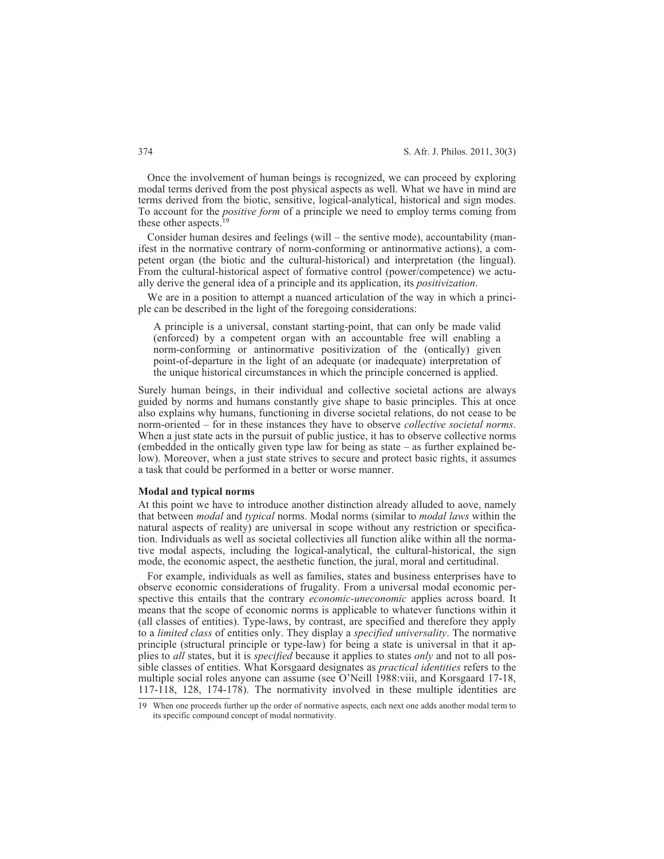Once the involvement of human beings is recognized, we can proceed by exploring modal terms derived from the post physical aspects as well. What we have in mind are terms derived from the biotic, sensitive, logical-analytical, historical and sign modes. To account for the *positive form* of a principle we need to employ terms coming from these other aspects.<sup>19</sup>

Consider human desires and feelings (will – the sentive mode), accountability (manifest in the normative contrary of norm-conforming or antinormative actions), a competent organ (the biotic and the cultural-historical) and interpretation (the lingual). From the cultural-historical aspect of formative control (power/competence) we actually derive the general idea of a principle and its application, its *positivization*.

We are in a position to attempt a nuanced articulation of the way in which a principle can be described in the light of the foregoing considerations:

A principle is a universal, constant starting-point, that can only be made valid (enforced) by a competent organ with an accountable free will enabling a norm-conforming or antinormative positivization of the (ontically) given point-of-departure in the light of an adequate (or inadequate) interpretation of the unique historical circumstances in which the principle concerned is applied.

Surely human beings, in their individual and collective societal actions are always guided by norms and humans constantly give shape to basic principles. This at once also explains why humans, functioning in diverse societal relations, do not cease to be norm-oriented – for in these instances they have to observe *collective societal norms*. When a just state acts in the pursuit of public justice, it has to observe collective norms (embedded in the ontically given type law for being as state – as further explained below). Moreover, when a just state strives to secure and protect basic rights, it assumes a task that could be performed in a better or worse manner.

#### **Modal and typical norms**

At this point we have to introduce another distinction already alluded to aove, namely that between *modal* and *typical* norms. Modal norms (similar to *modal laws* within the natural aspects of reality) are universal in scope without any restriction or specification. Individuals as well as societal collectivies all function alike within all the normative modal aspects, including the logical-analytical, the cultural-historical, the sign mode, the economic aspect, the aesthetic function, the jural, moral and certitudinal.

For example, individuals as well as families, states and business enterprises have to observe economic considerations of frugality. From a universal modal economic perspective this entails that the contrary *economic-uneconomic* applies across board. It means that the scope of economic norms is applicable to whatever functions within it (all classes of entities). Type-laws, by contrast, are specified and therefore they apply to a *limited class* of entities only. They display a *specified universality*. The normative principle (structural principle or type-law) for being a state is universal in that it applies to *all* states, but it is *specified* because it applies to states *only* and not to all possible classes of entities. What Korsgaard designates as *practical identities* refers to the multiple social roles anyone can assume (see O'Neill 1988:viii, and Korsgaard 17-18, 117-118, 128, 174-178). The normativity involved in these multiple identities are

<sup>19</sup> When one proceeds further up the order of normative aspects, each next one adds another modal term to its specific compound concept of modal normativity.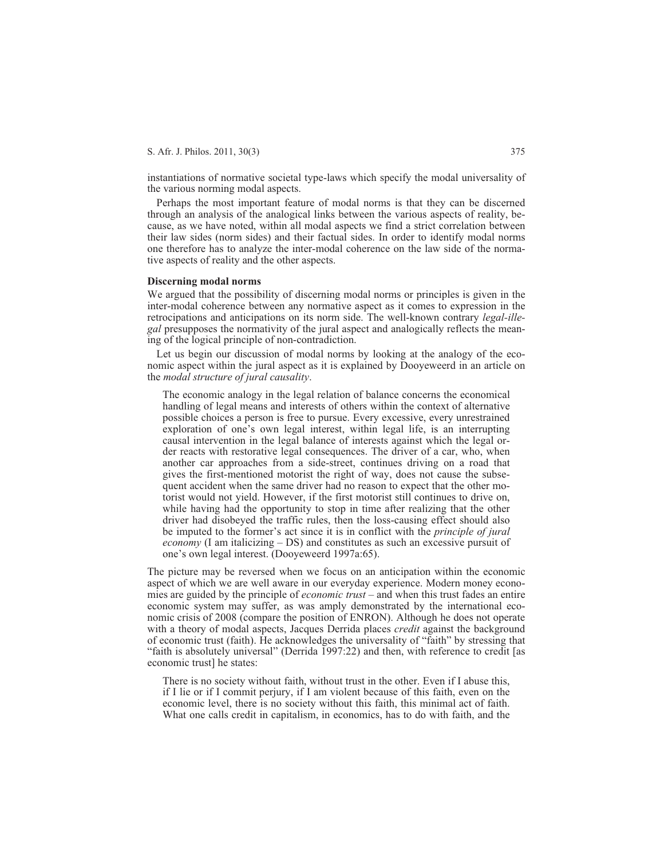instantiations of normative societal type-laws which specify the modal universality of the various norming modal aspects.

Perhaps the most important feature of modal norms is that they can be discerned through an analysis of the analogical links between the various aspects of reality, because, as we have noted, within all modal aspects we find a strict correlation between their law sides (norm sides) and their factual sides. In order to identify modal norms one therefore has to analyze the inter-modal coherence on the law side of the normative aspects of reality and the other aspects.

## **Discerning modal norms**

We argued that the possibility of discerning modal norms or principles is given in the inter-modal coherence between any normative aspect as it comes to expression in the retrocipations and anticipations on its norm side. The well-known contrary *legal-illegal* presupposes the normativity of the jural aspect and analogically reflects the meaning of the logical principle of non-contradiction.

Let us begin our discussion of modal norms by looking at the analogy of the economic aspect within the jural aspect as it is explained by Dooyeweerd in an article on the *modal structure of jural causality*.

The economic analogy in the legal relation of balance concerns the economical handling of legal means and interests of others within the context of alternative possible choices a person is free to pursue. Every excessive, every unrestrained exploration of one's own legal interest, within legal life, is an interrupting causal intervention in the legal balance of interests against which the legal order reacts with restorative legal consequences. The driver of a car, who, when another car approaches from a side-street, continues driving on a road that gives the first-mentioned motorist the right of way, does not cause the subsequent accident when the same driver had no reason to expect that the other motorist would not yield. However, if the first motorist still continues to drive on, while having had the opportunity to stop in time after realizing that the other driver had disobeyed the traffic rules, then the loss-causing effect should also be imputed to the former's act since it is in conflict with the *principle of jural economy* (I am italicizing – DS) and constitutes as such an excessive pursuit of one's own legal interest. (Dooyeweerd 1997a:65).

The picture may be reversed when we focus on an anticipation within the economic aspect of which we are well aware in our everyday experience. Modern money economies are guided by the principle of *economic trust* – and when this trust fades an entire economic system may suffer, as was amply demonstrated by the international economic crisis of 2008 (compare the position of ENRON). Although he does not operate with a theory of modal aspects, Jacques Derrida places *credit* against the background of economic trust (faith). He acknowledges the universality of "faith" by stressing that "faith is absolutely universal" (Derrida 1997:22) and then, with reference to credit [as economic trust] he states:

There is no society without faith, without trust in the other. Even if I abuse this, if I lie or if I commit perjury, if I am violent because of this faith, even on the economic level, there is no society without this faith, this minimal act of faith. What one calls credit in capitalism, in economics, has to do with faith, and the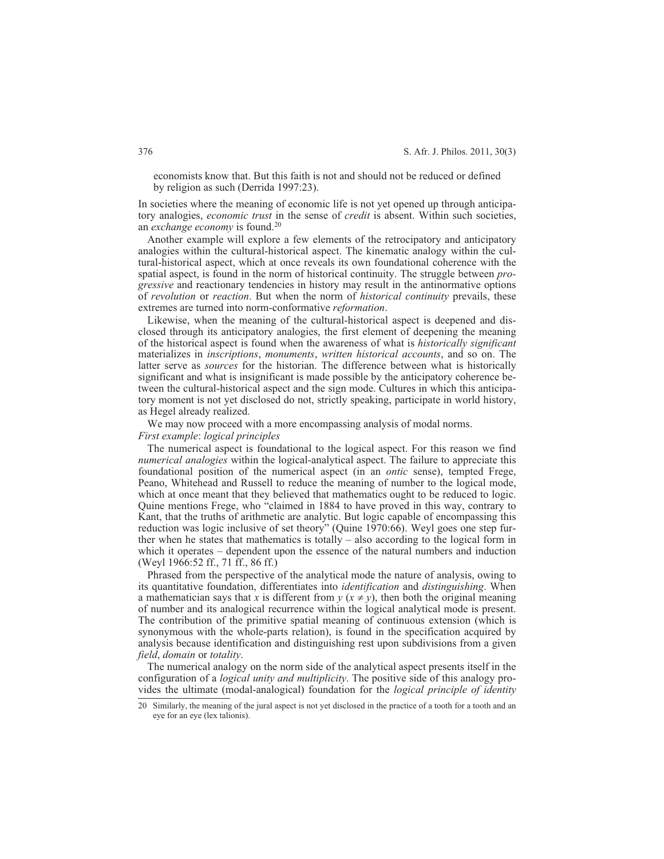economists know that. But this faith is not and should not be reduced or defined by religion as such (Derrida 1997:23).

In societies where the meaning of economic life is not yet opened up through anticipatory analogies, *economic trust* in the sense of *credit* is absent. Within such societies, an *exchange economy* is found.20

Another example will explore a few elements of the retrocipatory and anticipatory analogies within the cultural-historical aspect. The kinematic analogy within the cultural-historical aspect, which at once reveals its own foundational coherence with the spatial aspect, is found in the norm of historical continuity. The struggle between *progressive* and reactionary tendencies in history may result in the antinormative options of *revolution* or *reaction*. But when the norm of *historical continuity* prevails, these extremes are turned into norm-conformative *reformation*.

Likewise, when the meaning of the cultural-historical aspect is deepened and disclosed through its anticipatory analogies, the first element of deepening the meaning of the historical aspect is found when the awareness of what is *historically significant* materializes in *inscriptions*, *monuments*, *written historical accounts*, and so on. The latter serve as *sources* for the historian. The difference between what is historically significant and what is insignificant is made possible by the anticipatory coherence between the cultural-historical aspect and the sign mode. Cultures in which this anticipatory moment is not yet disclosed do not, strictly speaking, participate in world history, as Hegel already realized.

We may now proceed with a more encompassing analysis of modal norms. *First example*: *logical principles*

The numerical aspect is foundational to the logical aspect. For this reason we find *numerical analogies* within the logical-analytical aspect. The failure to appreciate this foundational position of the numerical aspect (in an *ontic* sense), tempted Frege, Peano, Whitehead and Russell to reduce the meaning of number to the logical mode, which at once meant that they believed that mathematics ought to be reduced to logic. Quine mentions Frege, who "claimed in 1884 to have proved in this way, contrary to Kant, that the truths of arithmetic are analytic. But logic capable of encompassing this reduction was logic inclusive of set theory" (Quine 1970:66). Weyl goes one step further when he states that mathematics is totally – also according to the logical form in which it operates – dependent upon the essence of the natural numbers and induction (Weyl 1966:52 ff., 71 ff., 86 ff.)

Phrased from the perspective of the analytical mode the nature of analysis, owing to its quantitative foundation, differentiates into *identification* and *distinguishing*. When a mathematician says that *x* is different from  $y(x \neq y)$ , then both the original meaning of number and its analogical recurrence within the logical analytical mode is present. The contribution of the primitive spatial meaning of continuous extension (which is synonymous with the whole-parts relation), is found in the specification acquired by analysis because identification and distinguishing rest upon subdivisions from a given *field*, *domain* or *totality*.

The numerical analogy on the norm side of the analytical aspect presents itself in the configuration of a *logical unity and multiplicity*. The positive side of this analogy provides the ultimate (modal-analogical) foundation for the *logical principle of identity*

<sup>20</sup> Similarly, the meaning of the jural aspect is not yet disclosed in the practice of a tooth for a tooth and an eye for an eye (lex talionis).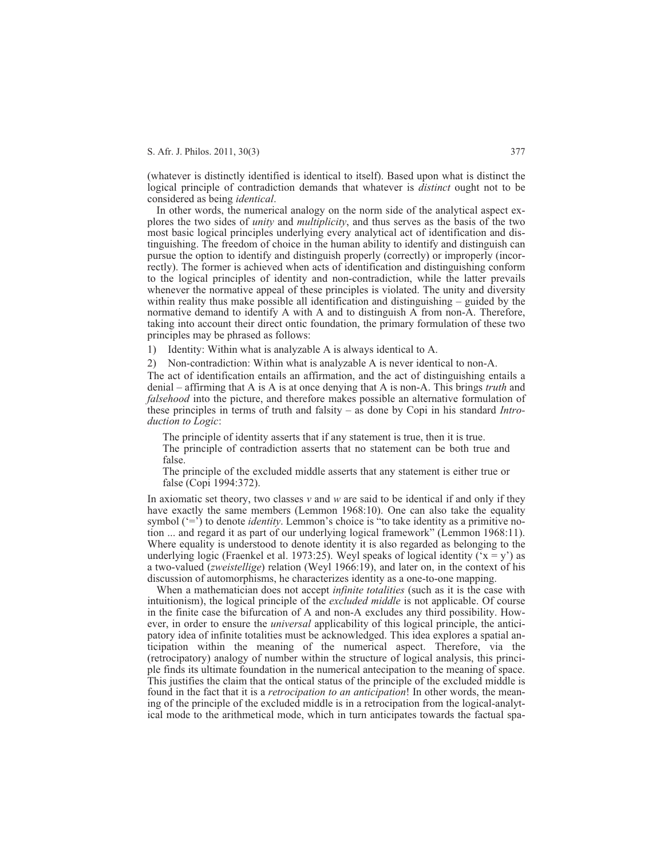(whatever is distinctly identified is identical to itself). Based upon what is distinct the logical principle of contradiction demands that whatever is *distinct* ought not to be considered as being *identical*.

In other words, the numerical analogy on the norm side of the analytical aspect explores the two sides of *unity* and *multiplicity*, and thus serves as the basis of the two most basic logical principles underlying every analytical act of identification and distinguishing. The freedom of choice in the human ability to identify and distinguish can pursue the option to identify and distinguish properly (correctly) or improperly (incorrectly). The former is achieved when acts of identification and distinguishing conform to the logical principles of identity and non-contradiction, while the latter prevails whenever the normative appeal of these principles is violated. The unity and diversity within reality thus make possible all identification and distinguishing – guided by the normative demand to identify A with A and to distinguish A from non-A. Therefore, taking into account their direct ontic foundation, the primary formulation of these two principles may be phrased as follows:

1) Identity: Within what is analyzable A is always identical to A.

2) Non-contradiction: Within what is analyzable A is never identical to non-A.

The act of identification entails an affirmation, and the act of distinguishing entails a denial – affirming that A is A is at once denying that A is non-A. This brings *truth* and *falsehood* into the picture, and therefore makes possible an alternative formulation of these principles in terms of truth and falsity – as done by Copi in his standard *Introduction to Logic*:

The principle of identity asserts that if any statement is true, then it is true. The principle of contradiction asserts that no statement can be both true and false.

The principle of the excluded middle asserts that any statement is either true or false (Copi 1994:372).

In axiomatic set theory, two classes *v* and *w* are said to be identical if and only if they have exactly the same members (Lemmon 1968:10). One can also take the equality symbol ('=') to denote *identity*. Lemmon's choice is "to take identity as a primitive notion ... and regard it as part of our underlying logical framework" (Lemmon 1968:11). Where equality is understood to denote identity it is also regarded as belonging to the underlying logic (Fraenkel et al. 1973:25). Weyl speaks of logical identity ( $x = y'$ ) as a two-valued (*zweistellige*) relation (Weyl 1966:19), and later on, in the context of his discussion of automorphisms, he characterizes identity as a one-to-one mapping.

When a mathematician does not accept *infinite totalities* (such as it is the case with intuitionism), the logical principle of the *excluded middle* is not applicable. Of course in the finite case the bifurcation of A and non-A excludes any third possibility. However, in order to ensure the *universal* applicability of this logical principle, the anticipatory idea of infinite totalities must be acknowledged. This idea explores a spatial anticipation within the meaning of the numerical aspect. Therefore, via the (retrocipatory) analogy of number within the structure of logical analysis, this principle finds its ultimate foundation in the numerical antecipation to the meaning of space. This justifies the claim that the ontical status of the principle of the excluded middle is found in the fact that it is a *retrocipation to an anticipation*! In other words, the meaning of the principle of the excluded middle is in a retrocipation from the logical-analytical mode to the arithmetical mode, which in turn anticipates towards the factual spa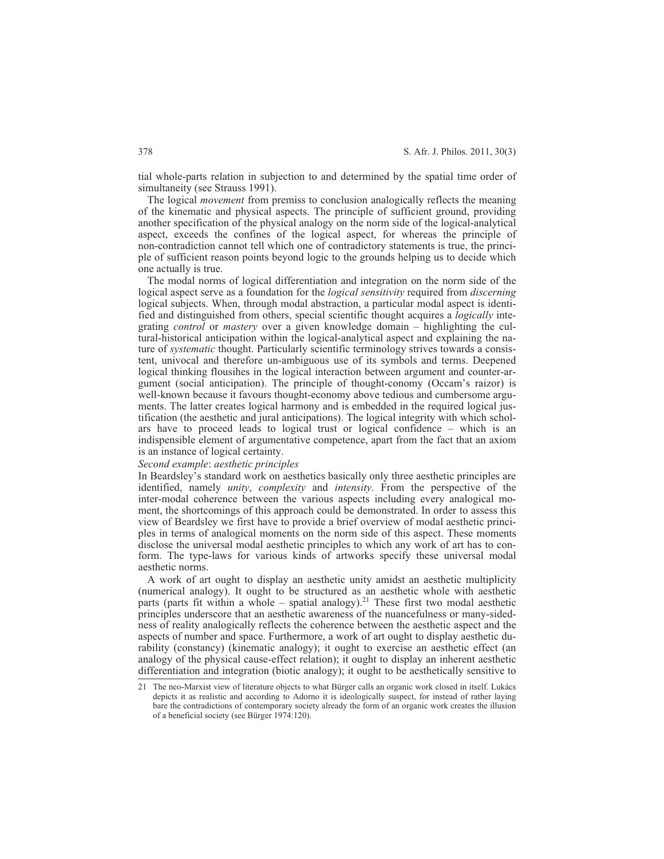tial whole-parts relation in subjection to and determined by the spatial time order of simultaneity (see Strauss 1991).

The logical *movement* from premiss to conclusion analogically reflects the meaning of the kinematic and physical aspects. The principle of sufficient ground, providing another specification of the physical analogy on the norm side of the logical-analytical aspect, exceeds the confines of the logical aspect, for whereas the principle of non-contradiction cannot tell which one of contradictory statements is true, the principle of sufficient reason points beyond logic to the grounds helping us to decide which one actually is true.

The modal norms of logical differentiation and integration on the norm side of the logical aspect serve as a foundation for the *logical sensitivity* required from *discerning* logical subjects. When, through modal abstraction, a particular modal aspect is identified and distinguished from others, special scientific thought acquires a *logically* integrating *control* or *mastery* over a given knowledge domain – highlighting the cultural-historical anticipation within the logical-analytical aspect and explaining the nature of *systematic* thought. Particularly scientific terminology strives towards a consistent, univocal and therefore un-ambiguous use of its symbols and terms. Deepened logical thinking flousihes in the logical interaction between argument and counter-argument (social anticipation). The principle of thought-conomy (Occam's raizor) is well-known because it favours thought-economy above tedious and cumbersome arguments. The latter creates logical harmony and is embedded in the required logical justification (the aesthetic and jural anticipations). The logical integrity with which scholars have to proceed leads to logical trust or logical confidence – which is an indispensible element of argumentative competence, apart from the fact that an axiom is an instance of logical certainty.

## *Second example*: *aesthetic principles*

In Beardsley's standard work on aesthetics basically only three aesthetic principles are identified, namely *unity*, *complexity* and *intensity*. From the perspective of the inter-modal coherence between the various aspects including every analogical moment, the shortcomings of this approach could be demonstrated. In order to assess this view of Beardsley we first have to provide a brief overview of modal aesthetic principles in terms of analogical moments on the norm side of this aspect. These moments disclose the universal modal aesthetic principles to which any work of art has to conform. The type-laws for various kinds of artworks specify these universal modal aesthetic norms.

A work of art ought to display an aesthetic unity amidst an aesthetic multiplicity (numerical analogy). It ought to be structured as an aesthetic whole with aesthetic parts (parts fit within a whole – spatial analogy).<sup>21</sup> These first two modal aesthetic principles underscore that an aesthetic awareness of the nuancefulness or many-sidedness of reality analogically reflects the coherence between the aesthetic aspect and the aspects of number and space. Furthermore, a work of art ought to display aesthetic durability (constancy) (kinematic analogy); it ought to exercise an aesthetic effect (an analogy of the physical cause-effect relation); it ought to display an inherent aesthetic differentiation and integration (biotic analogy); it ought to be aesthetically sensitive to

<sup>21</sup> The neo-Marxist view of literature objects to what Bürger calls an organic work closed in itself. Lukács depicts it as realistic and according to Adorno it is ideologically suspect, for instead of rather laying bare the contradictions of contemporary society already the form of an organic work creates the illusion of a beneficial society (see Bürger 1974:120).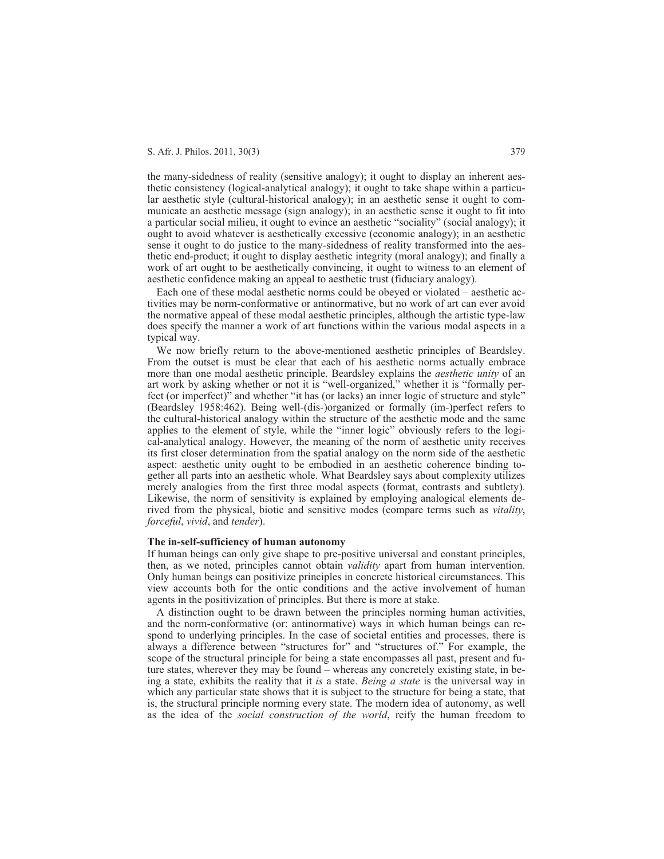the many-sidedness of reality (sensitive analogy); it ought to display an inherent aesthetic consistency (logical-analytical analogy); it ought to take shape within a particular aesthetic style (cultural-historical analogy); in an aesthetic sense it ought to communicate an aesthetic message (sign analogy); in an aesthetic sense it ought to fit into a particular social milieu, it ought to evince an aesthetic "sociality" (social analogy); it ought to avoid whatever is aesthetically excessive (economic analogy); in an aesthetic sense it ought to do justice to the many-sidedness of reality transformed into the aesthetic end-product; it ought to display aesthetic integrity (moral analogy); and finally a work of art ought to be aesthetically convincing, it ought to witness to an element of aesthetic confidence making an appeal to aesthetic trust (fiduciary analogy).

Each one of these modal aesthetic norms could be obeyed or violated – aesthetic activities may be norm-conformative or antinormative, but no work of art can ever avoid the normative appeal of these modal aesthetic principles, although the artistic type-law does specify the manner a work of art functions within the various modal aspects in a typical way.

We now briefly return to the above-mentioned aesthetic principles of Beardsley. From the outset is must be clear that each of his aesthetic norms actually embrace more than one modal aesthetic principle. Beardsley explains the *aesthetic unity* of an art work by asking whether or not it is "well-organized," whether it is "formally perfect (or imperfect)" and whether "it has (or lacks) an inner logic of structure and style" (Beardsley 1958:462). Being well-(dis-)organized or formally (im-)perfect refers to the cultural-historical analogy within the structure of the aesthetic mode and the same applies to the element of style, while the "inner logic" obviously refers to the logical-analytical analogy. However, the meaning of the norm of aesthetic unity receives its first closer determination from the spatial analogy on the norm side of the aesthetic aspect: aesthetic unity ought to be embodied in an aesthetic coherence binding together all parts into an aesthetic whole. What Beardsley says about complexity utilizes merely analogies from the first three modal aspects (format, contrasts and subtlety). Likewise, the norm of sensitivity is explained by employing analogical elements derived from the physical, biotic and sensitive modes (compare terms such as *vitality*, *forceful*, *vivid*, and *tender*).

## **The in-self-sufficiency of human autonomy**

If human beings can only give shape to pre-positive universal and constant principles, then, as we noted, principles cannot obtain *validity* apart from human intervention. Only human beings can positivize principles in concrete historical circumstances. This view accounts both for the ontic conditions and the active involvement of human agents in the positivization of principles. But there is more at stake.

A distinction ought to be drawn between the principles norming human activities, and the norm-conformative (or: antinormative) ways in which human beings can respond to underlying principles. In the case of societal entities and processes, there is always a difference between "structures for" and "structures of." For example, the scope of the structural principle for being a state encompasses all past, present and future states, wherever they may be found – whereas any concretely existing state, in being a state, exhibits the reality that it *is* a state. *Being a state* is the universal way in which any particular state shows that it is subject to the structure for being a state, that is, the structural principle norming every state. The modern idea of autonomy, as well as the idea of the *social construction of the world*, reify the human freedom to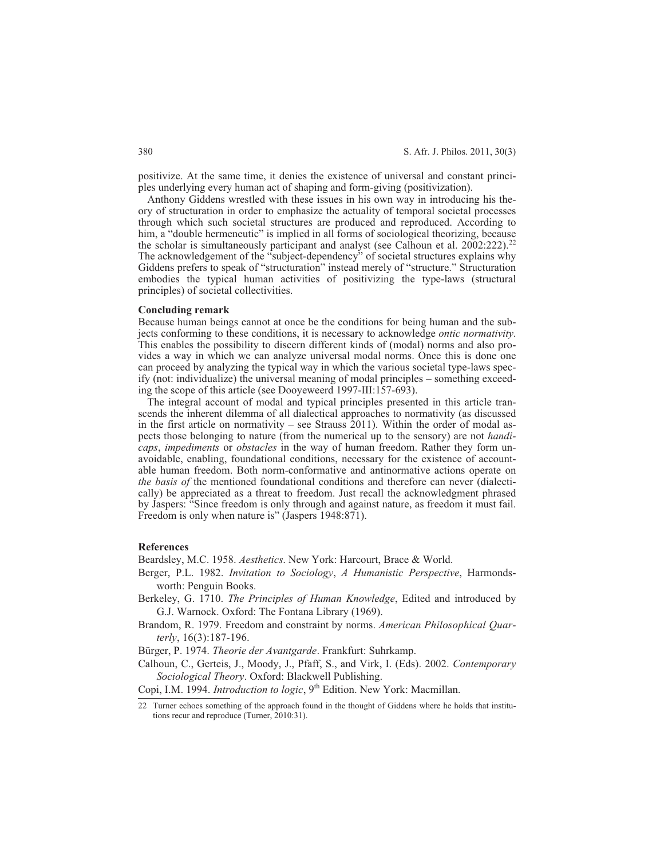positivize. At the same time, it denies the existence of universal and constant principles underlying every human act of shaping and form-giving (positivization).

Anthony Giddens wrestled with these issues in his own way in introducing his theory of structuration in order to emphasize the actuality of temporal societal processes through which such societal structures are produced and reproduced. According to him, a "double hermeneutic" is implied in all forms of sociological theorizing, because the scholar is simultaneously participant and analyst (see Calhoun et al. 2002:222).<sup>22</sup> The acknowledgement of the "subject-dependency" of societal structures explains why Giddens prefers to speak of "structuration" instead merely of "structure." Structuration embodies the typical human activities of positivizing the type-laws (structural principles) of societal collectivities.

#### **Concluding remark**

Because human beings cannot at once be the conditions for being human and the subjects conforming to these conditions, it is necessary to acknowledge *ontic normativity*. This enables the possibility to discern different kinds of (modal) norms and also provides a way in which we can analyze universal modal norms. Once this is done one can proceed by analyzing the typical way in which the various societal type-laws specify (not: individualize) the universal meaning of modal principles – something exceeding the scope of this article (see Dooyeweerd 1997-III:157-693).

The integral account of modal and typical principles presented in this article transcends the inherent dilemma of all dialectical approaches to normativity (as discussed in the first article on normativity – see Strauss  $2011$ ). Within the order of modal aspects those belonging to nature (from the numerical up to the sensory) are not *handicaps*, *impediments* or *obstacles* in the way of human freedom. Rather they form unavoidable, enabling, foundational conditions, necessary for the existence of accountable human freedom. Both norm-conformative and antinormative actions operate on *the basis of* the mentioned foundational conditions and therefore can never (dialectically) be appreciated as a threat to freedom. Just recall the acknowledgment phrased by Jaspers: "Since freedom is only through and against nature, as freedom it must fail. Freedom is only when nature is" (Jaspers 1948:871).

## **References**

Beardsley, M.C. 1958. *Aesthetics*. New York: Harcourt, Brace & World.

- Berger, P.L. 1982. *Invitation to Sociology*, *A Humanistic Perspective*, Harmondsworth: Penguin Books.
- Berkeley, G. 1710. *The Principles of Human Knowledge*, Edited and introduced by G.J. Warnock. Oxford: The Fontana Library (1969).
- Brandom, R. 1979. Freedom and constraint by norms. *American Philosophical Quarterly*, 16(3):187-196.

Bürger, P. 1974. *Theorie der Avantgarde*. Frankfurt: Suhrkamp.

Calhoun, C., Gerteis, J., Moody, J., Pfaff, S., and Virk, I. (Eds). 2002. *Contemporary Sociological Theory*. Oxford: Blackwell Publishing.

Copi, I.M. 1994. *Introduction to logic*, 9<sup>th</sup> Edition. New York: Macmillan.

<sup>22</sup> Turner echoes something of the approach found in the thought of Giddens where he holds that institutions recur and reproduce (Turner, 2010:31).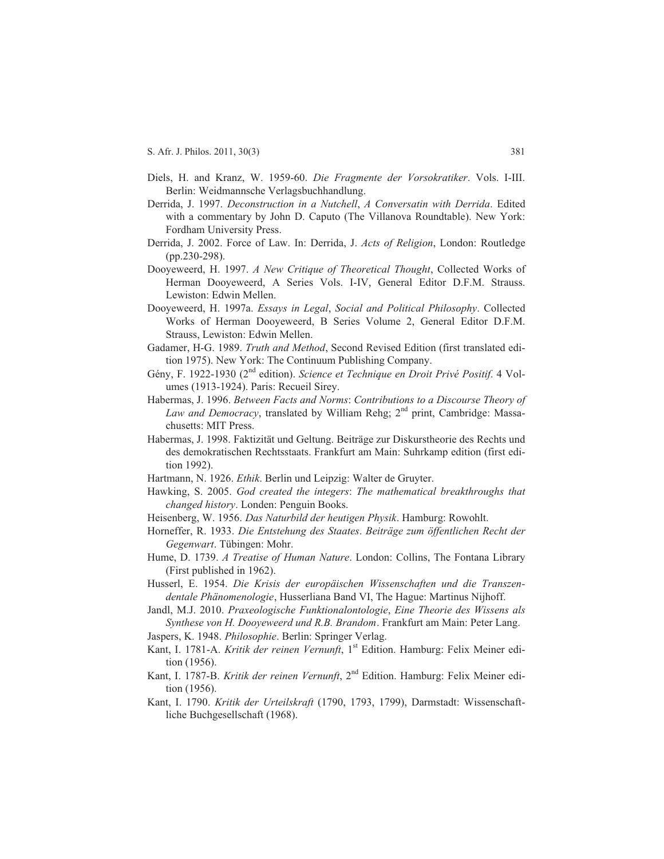- Diels, H. and Kranz, W. 1959-60. *Die Fragmente der Vorsokratiker*. Vols. I-III. Berlin: Weidmannsche Verlagsbuchhandlung.
- Derrida, J. 1997. *Deconstruction in a Nutchell*, *A Conversatin with Derrida*. Edited with a commentary by John D. Caputo (The Villanova Roundtable). New York: Fordham University Press.
- Derrida, J. 2002. Force of Law. In: Derrida, J. *Acts of Religion*, London: Routledge (pp.230-298).
- Dooyeweerd, H. 1997. *A New Critique of Theoretical Thought*, Collected Works of Herman Dooyeweerd, A Series Vols. I-IV, General Editor D.F.M. Strauss. Lewiston: Edwin Mellen.
- Dooyeweerd, H. 1997a. *Essays in Legal*, *Social and Political Philosophy*. Collected Works of Herman Dooyeweerd, B Series Volume 2, General Editor D.F.M. Strauss, Lewiston: Edwin Mellen.
- Gadamer, H-G. 1989. *Truth and Method*, Second Revised Edition (first translated edition 1975). New York: The Continuum Publishing Company.
- Gény, F. 1922-1930 (2nd edition). *Science et Technique en Droit Privé Positif*. 4 Volumes (1913-1924). Paris: Recueil Sirey.
- Habermas, J. 1996. *Between Facts and Norms*: *Contributions to a Discourse Theory of Law and Democracy*, translated by William Rehg; 2<sup>nd</sup> print, Cambridge: Massachusetts: MIT Press.
- Habermas, J. 1998. Faktizität und Geltung. Beiträge zur Diskurstheorie des Rechts und des demokratischen Rechtsstaats. Frankfurt am Main: Suhrkamp edition (first edition 1992).
- Hartmann, N. 1926. *Ethik*. Berlin und Leipzig: Walter de Gruyter.
- Hawking, S. 2005. *God created the integers*: *The mathematical breakthroughs that changed history*. Londen: Penguin Books.
- Heisenberg, W. 1956. *Das Naturbild der heutigen Physik*. Hamburg: Rowohlt.
- Horneffer, R. 1933. *Die Entstehung des Staates*. *Beiträge zum öffentlichen Recht der Gegenwart*. Tübingen: Mohr.
- Hume, D. 1739. *A Treatise of Human Nature*. London: Collins, The Fontana Library (First published in 1962).
- Husserl, E. 1954. *Die Krisis der europäischen Wissenschaften und die Transzendentale Phänomenologie*, Husserliana Band VI, The Hague: Martinus Nijhoff.
- Jandl, M.J. 2010. *Praxeologische Funktionalontologie*, *Eine Theorie des Wissens als Synthese von H. Dooyeweerd und R.B. Brandom*. Frankfurt am Main: Peter Lang.
- Jaspers, K. 1948. *Philosophie*. Berlin: Springer Verlag.
- Kant, I. 1781-A. *Kritik der reinen Vernunft*, 1<sup>st</sup> Edition. Hamburg: Felix Meiner edition (1956).
- Kant, I. 1787-B. *Kritik der reinen Vernunft*, 2<sup>nd</sup> Edition. Hamburg: Felix Meiner edition (1956).
- Kant, I. 1790. *Kritik der Urteilskraft* (1790, 1793, 1799), Darmstadt: Wissenschaftliche Buchgesellschaft (1968).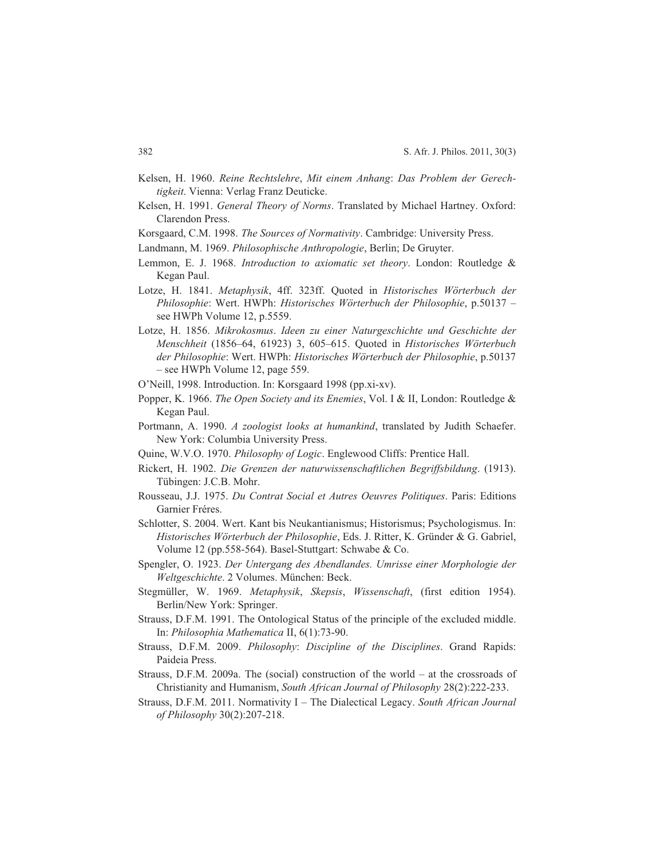- Kelsen, H. 1960. *Reine Rechtslehre*, *Mit einem Anhang*: *Das Problem der Gerechtigkeit*. Vienna: Verlag Franz Deuticke.
- Kelsen, H. 1991. *General Theory of Norms*. Translated by Michael Hartney. Oxford: Clarendon Press.
- Korsgaard, C.M. 1998. *The Sources of Normativity*. Cambridge: University Press.
- Landmann, M. 1969. *Philosophische Anthropologie*, Berlin; De Gruyter.
- Lemmon, E. J. 1968. *Introduction to axiomatic set theory*. London: Routledge & Kegan Paul.
- Lotze, H. 1841. *Metaphysik*, 4ff. 323ff. Quoted in *Historisches Wörterbuch der Philosophie*: Wert. HWPh: *Historisches Wörterbuch der Philosophie*, p.50137 – see HWPh Volume 12, p.5559.
- Lotze, H. 1856. *Mikrokosmus*. *Ideen zu einer Naturgeschichte und Geschichte der Menschheit* (1856–64, 61923) 3, 605–615. Quoted in *Historisches Wörterbuch der Philosophie*: Wert. HWPh: *Historisches Wörterbuch der Philosophie*, p.50137 – see HWPh Volume 12, page 559.
- O'Neill, 1998. Introduction. In: Korsgaard 1998 (pp.xi-xv).
- Popper, K. 1966. *The Open Society and its Enemies*, Vol. I & II, London: Routledge & Kegan Paul.
- Portmann, A. 1990. *A zoologist looks at humankind*, translated by Judith Schaefer. New York: Columbia University Press.
- Quine, W.V.O. 1970. *Philosophy of Logic*. Englewood Cliffs: Prentice Hall.
- Rickert, H. 1902. *Die Grenzen der naturwissenschaftlichen Begriffsbildung*. (1913). Tübingen: J.C.B. Mohr.
- Rousseau, J.J. 1975. *Du Contrat Social et Autres Oeuvres Politiques*. Paris: Editions Garnier Fréres.
- Schlotter, S. 2004. Wert. Kant bis Neukantianismus; Historismus; Psychologismus. In: *Historisches Wörterbuch der Philosophie*, Eds. J. Ritter, K. Gründer & G. Gabriel, Volume 12 (pp.558-564). Basel-Stuttgart: Schwabe & Co.
- Spengler, O. 1923. *Der Untergang des Abendlandes. Umrisse einer Morphologie der Weltgeschichte*. 2 Volumes. München: Beck.
- Stegmüller, W. 1969. *Metaphysik*, *Skepsis*, *Wissenschaft*, (first edition 1954). Berlin/New York: Springer.
- Strauss, D.F.M. 1991. The Ontological Status of the principle of the excluded middle. In: *Philosophia Mathematica* II, 6(1):73-90.
- Strauss, D.F.M. 2009. *Philosophy*: *Discipline of the Disciplines*. Grand Rapids: Paideia Press.
- Strauss, D.F.M. 2009a. The (social) construction of the world at the crossroads of Christianity and Humanism, *South African Journal of Philosophy* 28(2):222-233.
- Strauss, D.F.M. 2011. Normativity I The Dialectical Legacy. *South African Journal of Philosophy* 30(2):207-218.